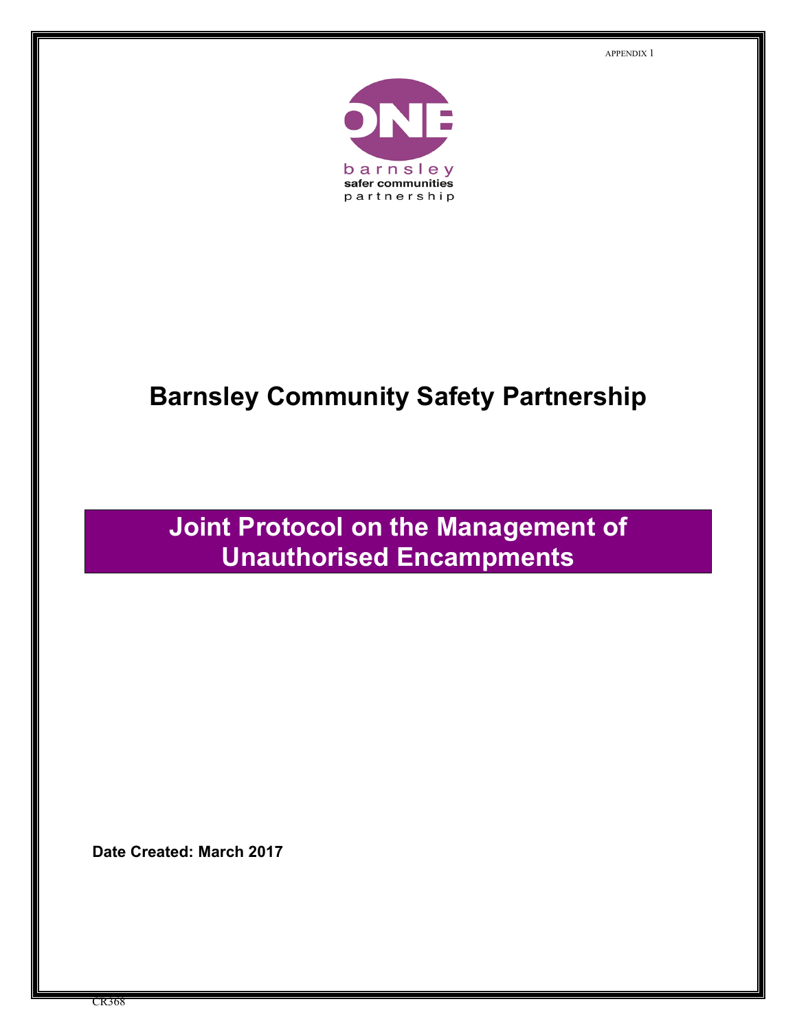APPENDIX 1



# **Barnsley Community Safety Partnership**

# **Joint Protocol on the Management of Unauthorised Encampments**

 **Date Created: March 2017**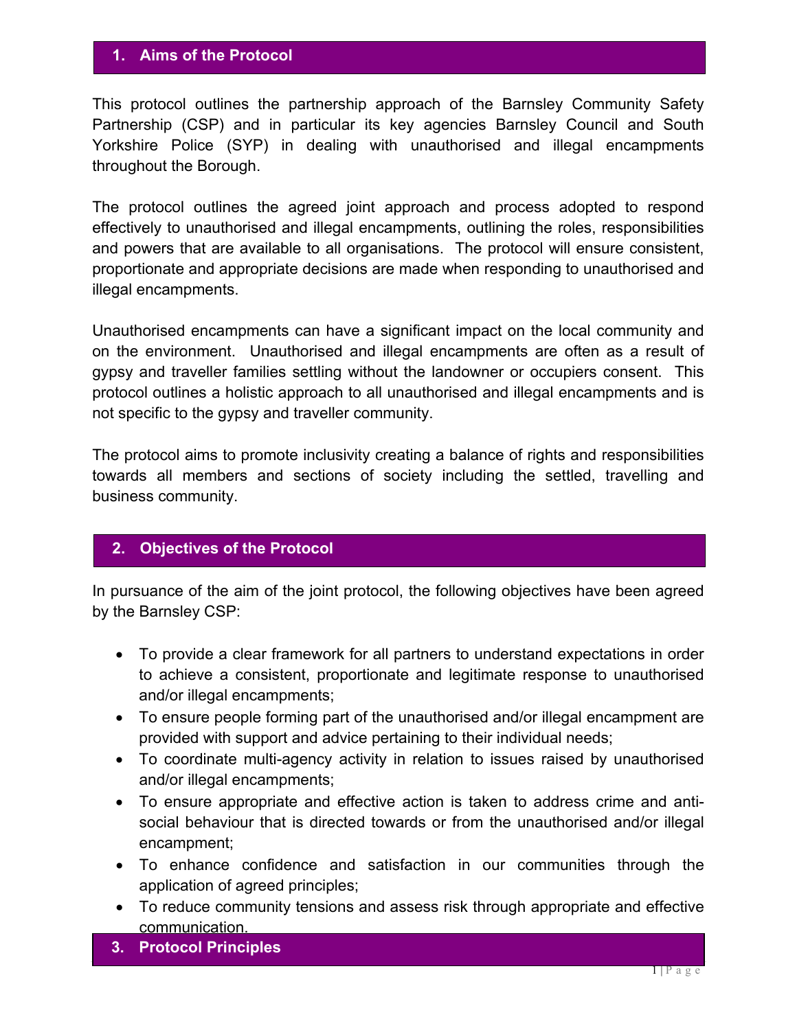#### **1. Aims of the Protocol**

 This protocol outlines the partnership approach of the Barnsley Community Safety Partnership (CSP) and in particular its key agencies Barnsley Council and South Yorkshire Police (SYP) in dealing with unauthorised and illegal encampments throughout the Borough.

 The protocol outlines the agreed joint approach and process adopted to respond effectively to unauthorised and illegal encampments, outlining the roles, responsibilities and powers that are available to all organisations. The protocol will ensure consistent, proportionate and appropriate decisions are made when responding to unauthorised and illegal encampments.

 Unauthorised encampments can have a significant impact on the local community and on the environment. Unauthorised and illegal encampments are often as a result of gypsy and traveller families settling without the landowner or occupiers consent. This protocol outlines a holistic approach to all unauthorised and illegal encampments and is not specific to the gypsy and traveller community.

 The protocol aims to promote inclusivity creating a balance of rights and responsibilities towards all members and sections of society including the settled, travelling and business community.

#### **2. Objectives of the Protocol**

 In pursuance of the aim of the joint protocol, the following objectives have been agreed by the Barnsley CSP:

- To provide a clear framework for all partners to understand expectations in order to achieve a consistent, proportionate and legitimate response to unauthorised and/or illegal encampments;
- To ensure people forming part of the unauthorised and/or illegal encampment are provided with support and advice pertaining to their individual needs;
- To coordinate multi-agency activity in relation to issues raised by unauthorised and/or illegal encampments;
- To ensure appropriate and effective action is taken to address crime and anti- social behaviour that is directed towards or from the unauthorised and/or illegal encampment;
- To enhance confidence and satisfaction in our communities through the application of agreed principles;
- To reduce community tensions and assess risk through appropriate and effective communication.
- **3. Protocol Principles**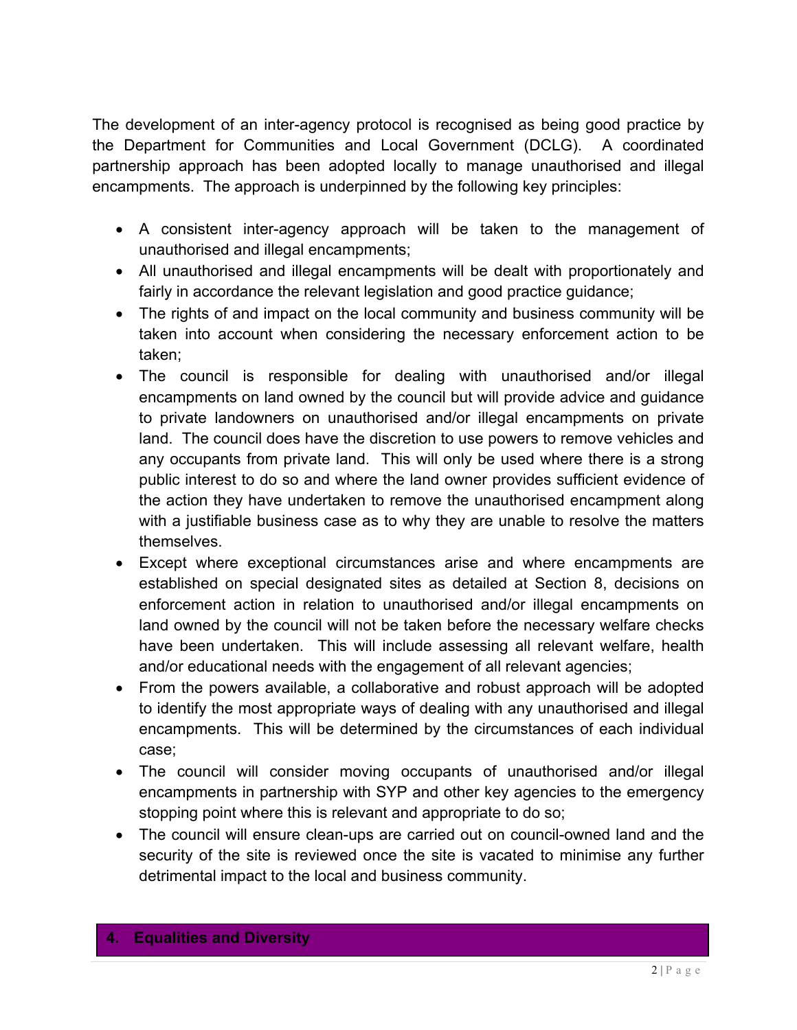The development of an inter-agency protocol is recognised as being good practice by the Department for Communities and Local Government (DCLG). A coordinated partnership approach has been adopted locally to manage unauthorised and illegal encampments. The approach is underpinned by the following key principles:

- A consistent inter-agency approach will be taken to the management of unauthorised and illegal encampments;
- All unauthorised and illegal encampments will be dealt with proportionately and fairly in accordance the relevant legislation and good practice guidance;
- The rights of and impact on the local community and business community will be taken into account when considering the necessary enforcement action to be taken;
- The council is responsible for dealing with unauthorised and/or illegal encampments on land owned by the council but will provide advice and guidance to private landowners on unauthorised and/or illegal encampments on private land. The council does have the discretion to use powers to remove vehicles and any occupants from private land. This will only be used where there is a strong public interest to do so and where the land owner provides sufficient evidence of the action they have undertaken to remove the unauthorised encampment along with a justifiable business case as to why they are unable to resolve the matters themselves.
- Except where exceptional circumstances arise and where encampments are established on special designated sites as detailed at Section 8, decisions on enforcement action in relation to unauthorised and/or illegal encampments on land owned by the council will not be taken before the necessary welfare checks have been undertaken. This will include assessing all relevant welfare, health and/or educational needs with the engagement of all relevant agencies;
- From the powers available, a collaborative and robust approach will be adopted to identify the most appropriate ways of dealing with any unauthorised and illegal encampments. This will be determined by the circumstances of each individual case;
- The council will consider moving occupants of unauthorised and/or illegal encampments in partnership with SYP and other key agencies to the emergency stopping point where this is relevant and appropriate to do so;
- The council will ensure clean-ups are carried out on council-owned land and the security of the site is reviewed once the site is vacated to minimise any further detrimental impact to the local and business community.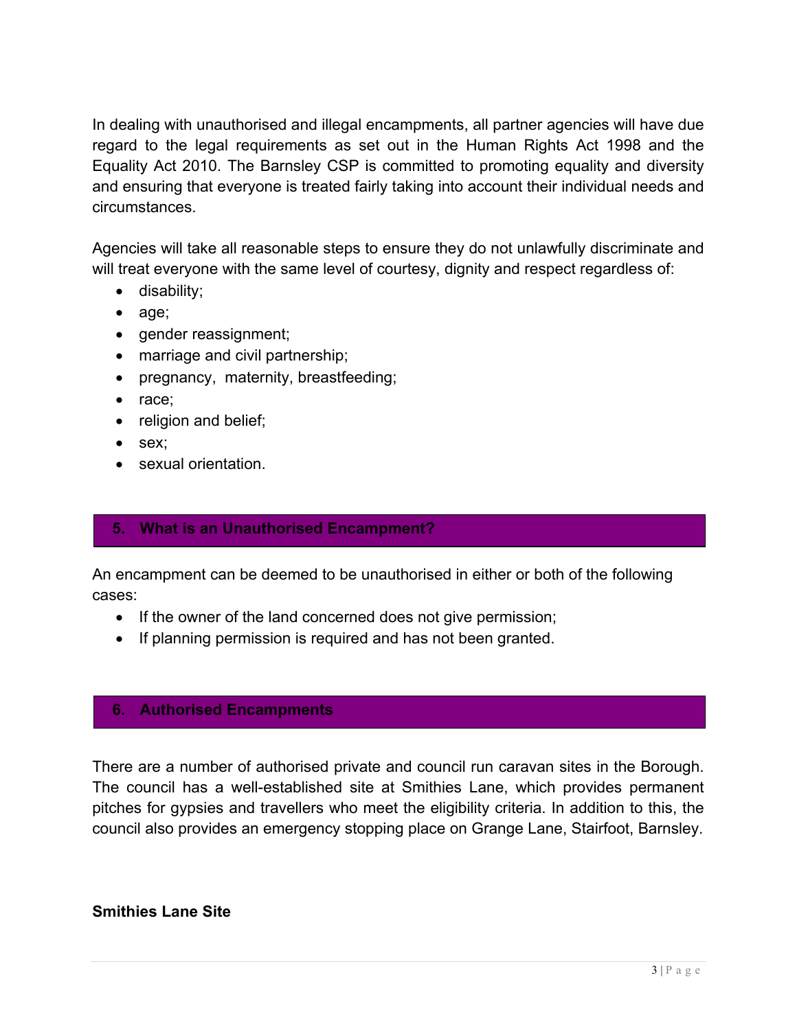In dealing with unauthorised and illegal encampments, all partner agencies will have due regard to the legal requirements as set out in the Human Rights Act 1998 and the Equality Act 2010. The Barnsley CSP is committed to promoting equality and diversity and ensuring that everyone is treated fairly taking into account their individual needs and circumstances.

 Agencies will take all reasonable steps to ensure they do not unlawfully discriminate and will treat everyone with the same level of courtesy, dignity and respect regardless of:

- disability;
- age;
- gender reassignment;
- marriage and civil partnership;
- pregnancy, maternity, breastfeeding;
- race;
- religion and belief;
- sex;
- **sexual orientation.**

#### **5. What is an Unauthorised Encampment?**

 An encampment can be deemed to be unauthorised in either or both of the following cases:

- If the owner of the land concerned does not give permission;
- If planning permission is required and has not been granted.

#### **6. Authorised Encampments**

 There are a number of authorised private and council run caravan sites in the Borough. The council has a well-established site at Smithies Lane, which provides permanent pitches for gypsies and travellers who meet the eligibility criteria. In addition to this, the council also provides an emergency stopping place on Grange Lane, Stairfoot, Barnsley.

# **Smithies Lane Site**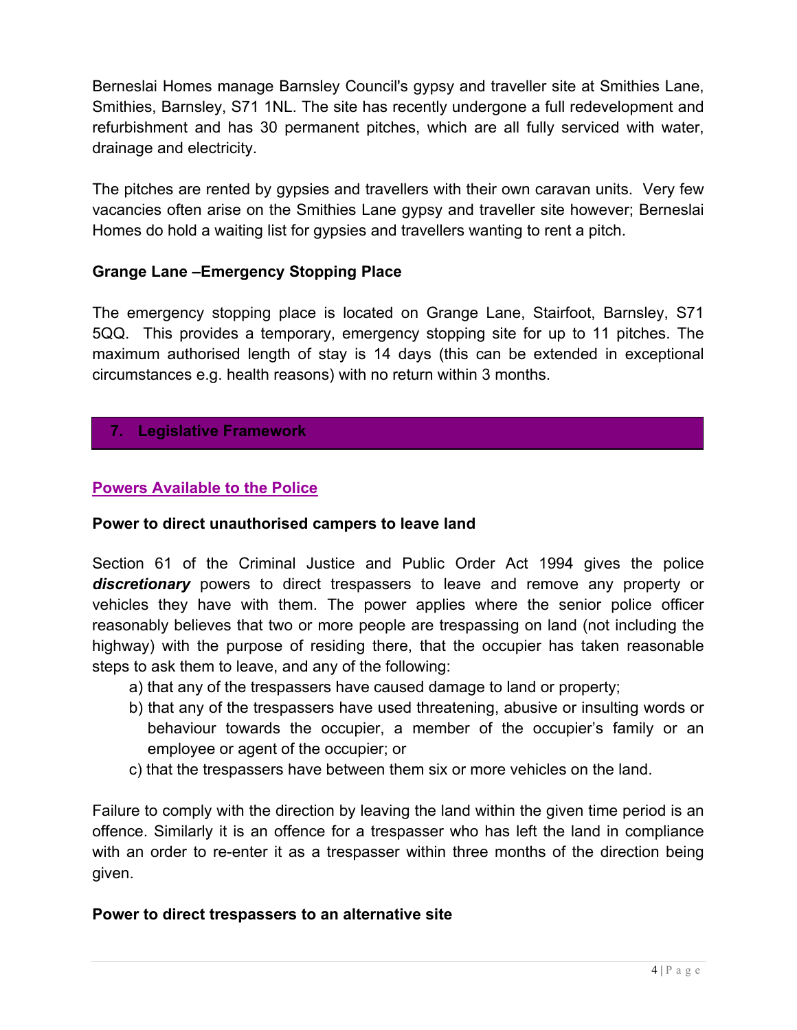Berneslai Homes manage Barnsley Council's gypsy and traveller site at Smithies Lane, Smithies, Barnsley, S71 1NL. The site has recently undergone a full redevelopment and refurbishment and has 30 permanent pitches, which are all fully serviced with water, drainage and electricity.

 The pitches are rented by gypsies and travellers with their own caravan units. Very few vacancies often arise on the Smithies Lane gypsy and traveller site however; Berneslai Homes do hold a waiting list for gypsies and travellers wanting to rent a pitch.

# **Grange Lane –Emergency Stopping Place**

 The emergency stopping place is located on Grange Lane, Stairfoot, Barnsley, S71 5QQ. This provides a temporary, emergency stopping site for up to 11 pitches. The maximum authorised length of stay is 14 days (this can be extended in exceptional circumstances e.g. health reasons) with no return within 3 months.

# **7. Legislative Framework**

## **Powers Available to the Police**

#### **Power to direct unauthorised campers to leave land**

 Section 61 of the Criminal Justice and Public Order Act 1994 gives the police *discretionary* powers to direct trespassers to leave and remove any property or vehicles they have with them. The power applies where the senior police officer reasonably believes that two or more people are trespassing on land (not including the highway) with the purpose of residing there, that the occupier has taken reasonable steps to ask them to leave, and any of the following:

- a) that any of the trespassers have caused damage to land or property;
- b) that any of the trespassers have used threatening, abusive or insulting words or behaviour towards the occupier, a member of the occupier's family or an employee or agent of the occupier; or
- c) that the trespassers have between them six or more vehicles on the land.

 Failure to comply with the direction by leaving the land within the given time period is an offence. Similarly it is an offence for a trespasser who has left the land in compliance with an order to re-enter it as a trespasser within three months of the direction being given.

#### **Power to direct trespassers to an alternative site**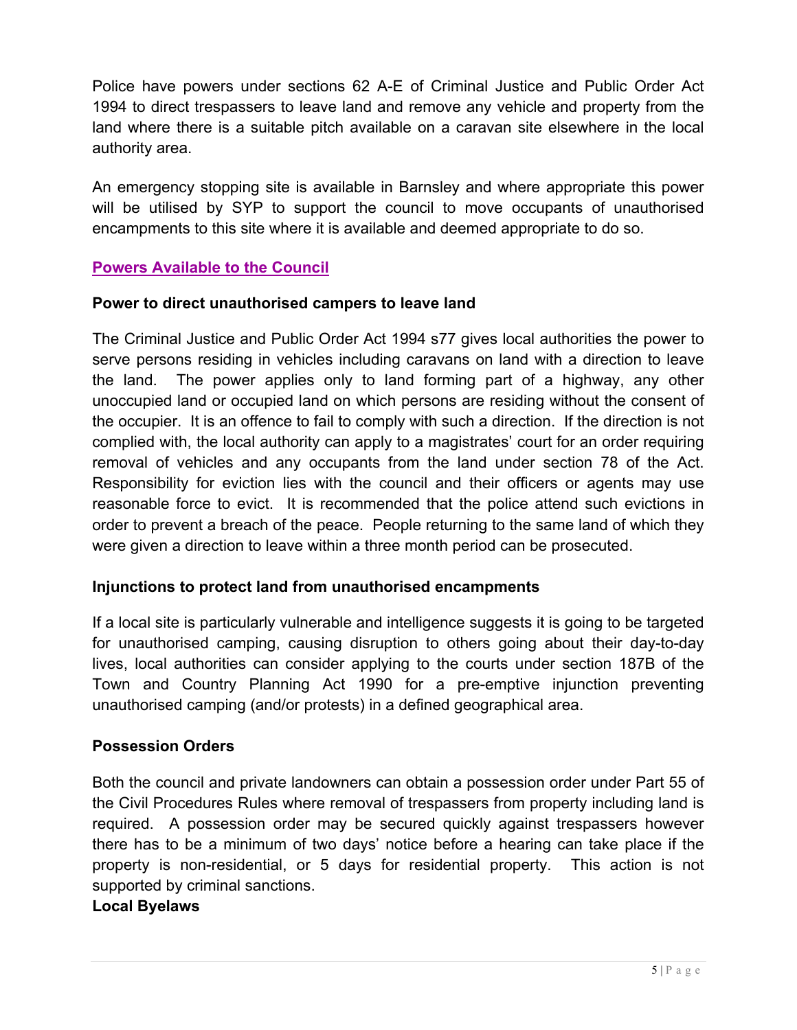Police have powers under sections 62 A-E of Criminal Justice and Public Order Act 1994 to direct trespassers to leave land and remove any vehicle and property from the land where there is a suitable pitch available on a caravan site elsewhere in the local authority area.

 An emergency stopping site is available in Barnsley and where appropriate this power will be utilised by SYP to support the council to move occupants of unauthorised encampments to this site where it is available and deemed appropriate to do so.

# **Powers Available to the Council**

## **Power to direct unauthorised campers to leave land**

 The Criminal Justice and Public Order Act 1994 s77 gives local authorities the power to serve persons residing in vehicles including caravans on land with a direction to leave the land. unoccupied land or occupied land on which persons are residing without the consent of the occupier. It is an offence to fail to comply with such a direction. If the direction is not complied with, the local authority can apply to a magistrates' court for an order requiring removal of vehicles and any occupants from the land under section 78 of the Act. Responsibility for eviction lies with the council and their officers or agents may use reasonable force to evict. It is recommended that the police attend such evictions in order to prevent a breach of the peace. People returning to the same land of which they were given a direction to leave within a three month period can be prosecuted. The power applies only to land forming part of a highway, any other

# **Injunctions to protect land from unauthorised encampments**

 If a local site is particularly vulnerable and intelligence suggests it is going to be targeted for unauthorised camping, causing disruption to others going about their day-to-day lives, local authorities can consider applying to the courts under section 187B of the Town and Country Planning Act 1990 for a pre-emptive injunction preventing unauthorised camping (and/or protests) in a defined geographical area.

#### **Possession Orders**

 Both the council and private landowners can obtain a possession order under Part 55 of the Civil Procedures Rules where removal of trespassers from property including land is required. A possession order may be secured quickly against trespassers however there has to be a minimum of two days' notice before a hearing can take place if the property is non-residential, or 5 days for residential property. This action is not supported by criminal sanctions.

#### **Local Byelaws**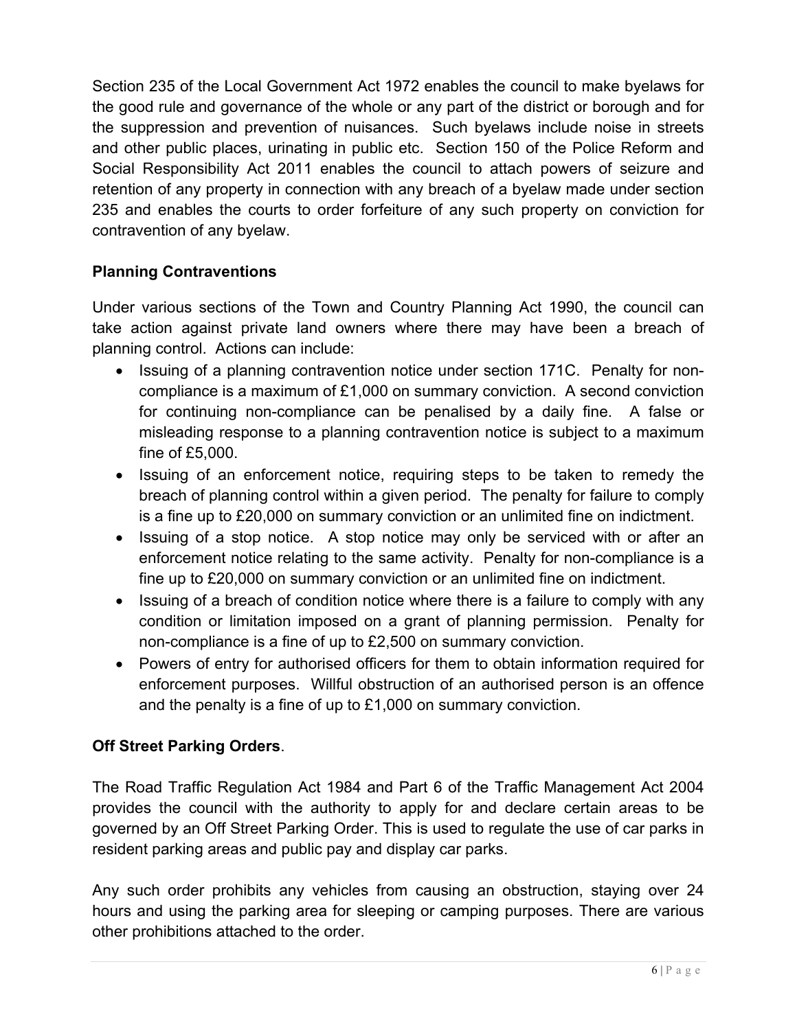Section 235 of the Local Government Act 1972 enables the council to make byelaws for the good rule and governance of the whole or any part of the district or borough and for the suppression and prevention of nuisances. Such byelaws include noise in streets and other public places, urinating in public etc. Section 150 of the Police Reform and Social Responsibility Act 2011 enables the council to attach powers of seizure and retention of any property in connection with any breach of a byelaw made under section 235 and enables the courts to order forfeiture of any such property on conviction for contravention of any byelaw.

# **Planning Contraventions**

 Under various sections of the Town and Country Planning Act 1990, the council can take action against private land owners where there may have been a breach of planning control. Actions can include:

- Issuing of a planning contravention notice under section 171C. Penalty for non- compliance is a maximum of £1,000 on summary conviction. A second conviction for continuing non-compliance can be penalised by a daily fine. A false or misleading response to a planning contravention notice is subject to a maximum fine of £5,000.
- Issuing of an enforcement notice, requiring steps to be taken to remedy the breach of planning control within a given period. The penalty for failure to comply is a fine up to £20,000 on summary conviction or an unlimited fine on indictment.
- Issuing of a stop notice. A stop notice may only be serviced with or after an enforcement notice relating to the same activity. Penalty for non-compliance is a fine up to £20,000 on summary conviction or an unlimited fine on indictment.
- Issuing of a breach of condition notice where there is a failure to comply with any condition or limitation imposed on a grant of planning permission. Penalty for non-compliance is a fine of up to £2,500 on summary conviction.
- Powers of entry for authorised officers for them to obtain information required for enforcement purposes. Willful obstruction of an authorised person is an offence and the penalty is a fine of up to £1,000 on summary conviction.

# **Off Street Parking Orders**.

 The Road Traffic Regulation Act 1984 and Part 6 of the Traffic Management Act 2004 provides the council with the authority to apply for and declare certain areas to be governed by an Off Street Parking Order. This is used to regulate the use of car parks in resident parking areas and public pay and display car parks.

 Any such order prohibits any vehicles from causing an obstruction, staying over 24 hours and using the parking area for sleeping or camping purposes. There are various other prohibitions attached to the order.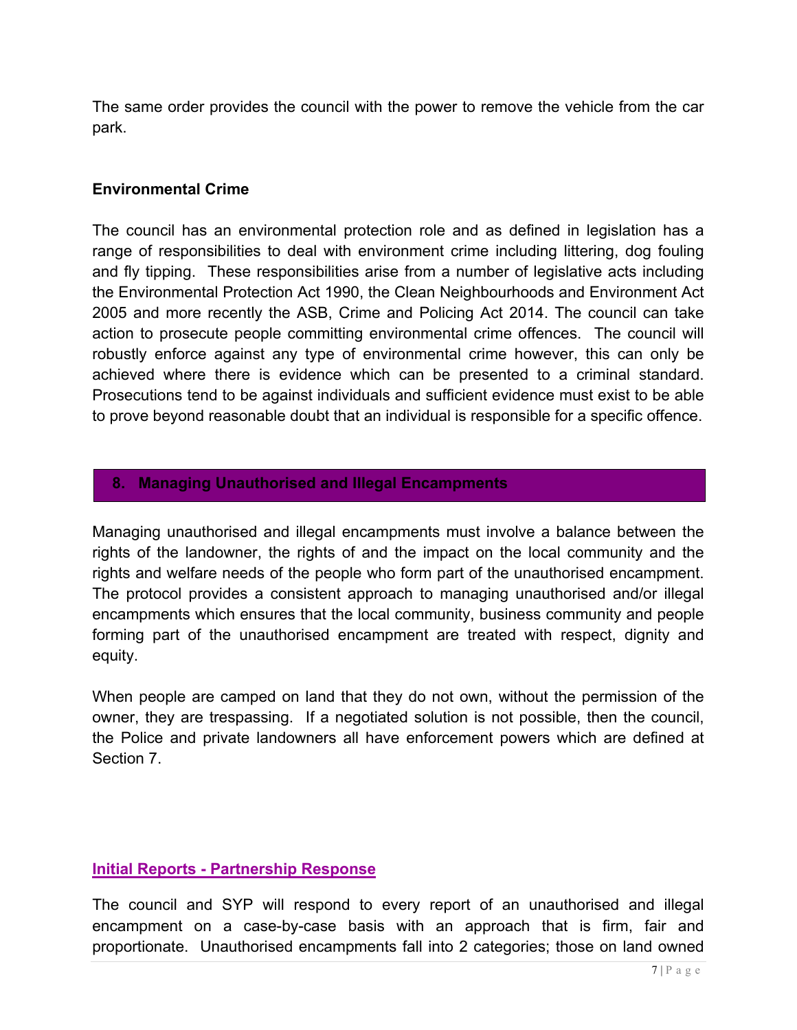The same order provides the council with the power to remove the vehicle from the car park.

#### **Environmental Crime**

 The council has an environmental protection role and as defined in legislation has a range of responsibilities to deal with environment crime including littering, dog fouling and fly tipping. These responsibilities arise from a number of legislative acts including the Environmental Protection Act 1990, the Clean Neighbourhoods and Environment Act 2005 and more recently the ASB, Crime and Policing Act 2014. The council can take action to prosecute people committing environmental crime offences. The council will robustly enforce against any type of environmental crime however, this can only be achieved where there is evidence which can be presented to a criminal standard. Prosecutions tend to be against individuals and sufficient evidence must exist to be able to prove beyond reasonable doubt that an individual is responsible for a specific offence.

#### **8. Managing Unauthorised and Illegal Encampments**

 Managing unauthorised and illegal encampments must involve a balance between the rights of the landowner, the rights of and the impact on the local community and the rights and welfare needs of the people who form part of the unauthorised encampment. The protocol provides a consistent approach to managing unauthorised and/or illegal encampments which ensures that the local community, business community and people forming part of the unauthorised encampment are treated with respect, dignity and equity.

 When people are camped on land that they do not own, without the permission of the owner, they are trespassing. If a negotiated solution is not possible, then the council, the Police and private landowners all have enforcement powers which are defined at Section 7.

#### **Initial Reports - Partnership Response**

 The council and SYP will respond to every report of an unauthorised and illegal encampment on a case-by-case basis with an approach that is firm, fair and proportionate. Unauthorised encampments fall into 2 categories; those on land owned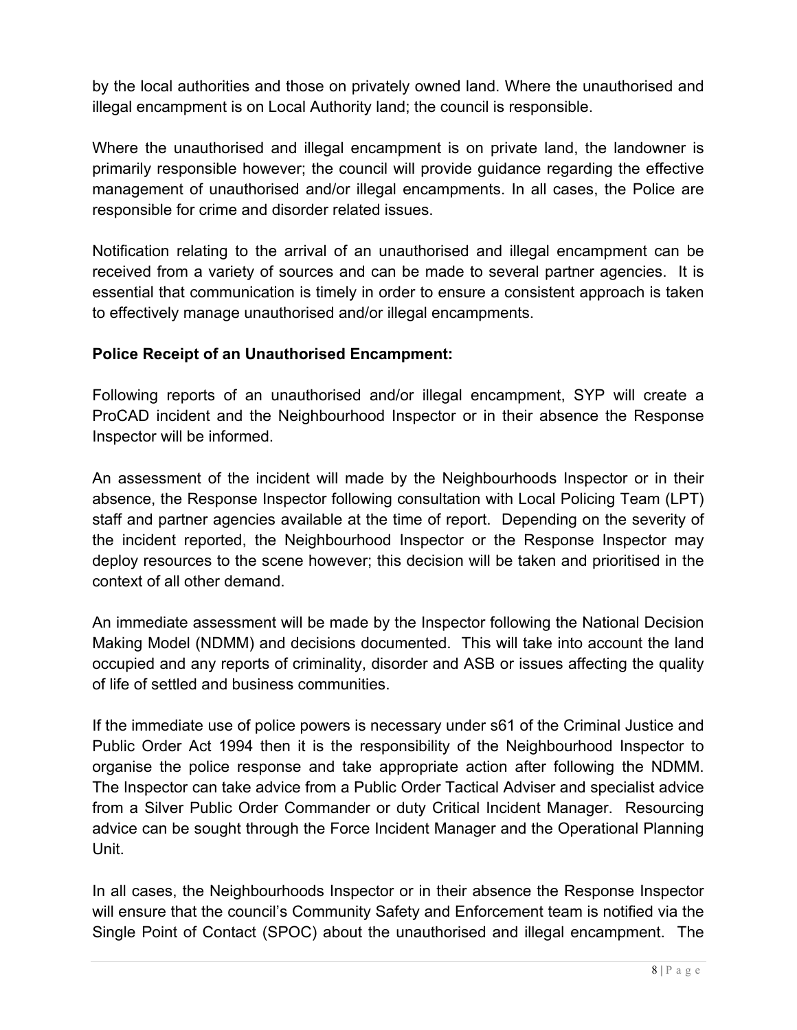by the local authorities and those on privately owned land. Where the unauthorised and illegal encampment is on Local Authority land; the council is responsible.

 Where the unauthorised and illegal encampment is on private land, the landowner is primarily responsible however; the council will provide guidance regarding the effective management of unauthorised and/or illegal encampments. In all cases, the Police are responsible for crime and disorder related issues.

 Notification relating to the arrival of an unauthorised and illegal encampment can be received from a variety of sources and can be made to several partner agencies. It is essential that communication is timely in order to ensure a consistent approach is taken to effectively manage unauthorised and/or illegal encampments.

# **Police Receipt of an Unauthorised Encampment:**

 Following reports of an unauthorised and/or illegal encampment, SYP will create a ProCAD incident and the Neighbourhood Inspector or in their absence the Response Inspector will be informed.

 An assessment of the incident will made by the Neighbourhoods Inspector or in their absence, the Response Inspector following consultation with Local Policing Team (LPT) staff and partner agencies available at the time of report. Depending on the severity of the incident reported, the Neighbourhood Inspector or the Response Inspector may deploy resources to the scene however; this decision will be taken and prioritised in the context of all other demand.

 An immediate assessment will be made by the Inspector following the National Decision Making Model (NDMM) and decisions documented. This will take into account the land occupied and any reports of criminality, disorder and ASB or issues affecting the quality of life of settled and business communities.

 If the immediate use of police powers is necessary under s61 of the Criminal Justice and Public Order Act 1994 then it is the responsibility of the Neighbourhood Inspector to organise the police response and take appropriate action after following the NDMM. The Inspector can take advice from a Public Order Tactical Adviser and specialist advice from a Silver Public Order Commander or duty Critical Incident Manager. Resourcing advice can be sought through the Force Incident Manager and the Operational Planning Unit.

 In all cases, the Neighbourhoods Inspector or in their absence the Response Inspector will ensure that the council's Community Safety and Enforcement team is notified via the Single Point of Contact (SPOC) about the unauthorised and illegal encampment. The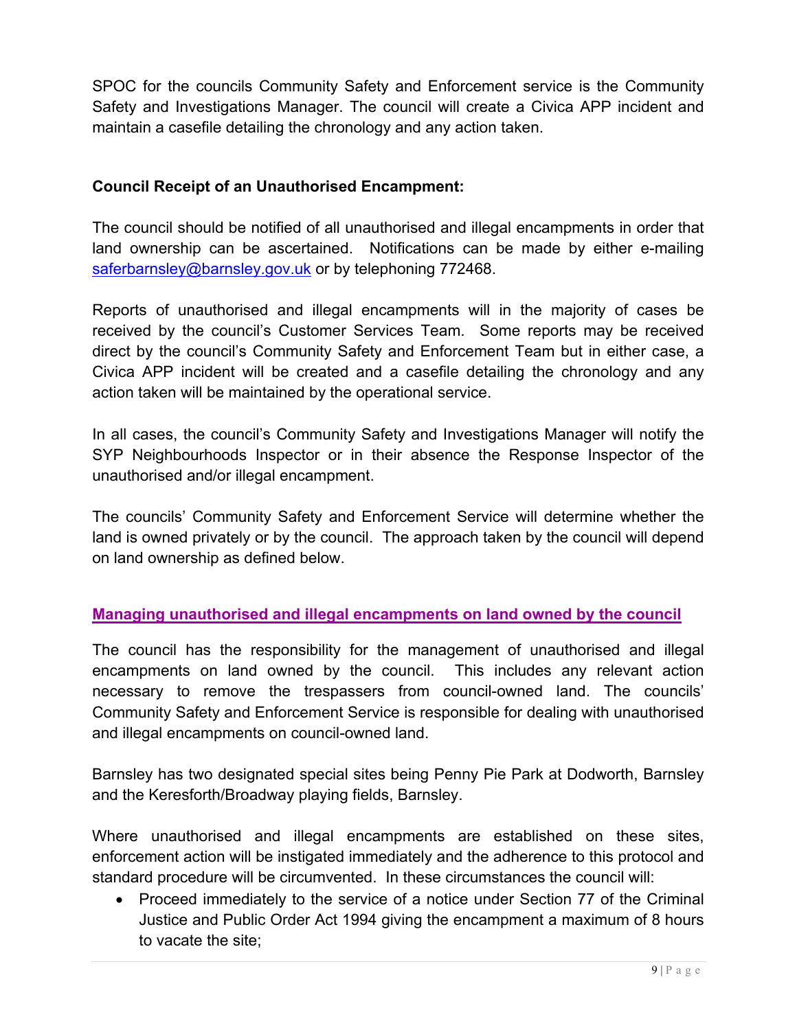SPOC for the councils Community Safety and Enforcement service is the Community Safety and Investigations Manager. The council will create a Civica APP incident and maintain a casefile detailing the chronology and any action taken.

# **Council Receipt of an Unauthorised Encampment:**

 The council should be notified of all unauthorised and illegal encampments in order that land ownership can be ascertained. Notifications can be made by either e-mailing [saferbarnsley@barnsley.gov.uk](mailto:saferbarnsley@barnsley.gov.uk) or by telephoning 772468.

 Reports of unauthorised and illegal encampments will in the majority of cases be received by the council's Customer Services Team. Some reports may be received direct by the council's Community Safety and Enforcement Team but in either case, a Civica APP incident will be created and a casefile detailing the chronology and any action taken will be maintained by the operational service.

 In all cases, the council's Community Safety and Investigations Manager will notify the SYP Neighbourhoods Inspector or in their absence the Response Inspector of the unauthorised and/or illegal encampment.

 The councils' Community Safety and Enforcement Service will determine whether the land is owned privately or by the council. The approach taken by the council will depend on land ownership as defined below.

# **Managing unauthorised and illegal encampments on land owned by the council**

The council has the responsibility for the management of unauthorised and illegal encampments on land owned by the council. This includes any relevant action necessary to remove the trespassers from council-owned land. The councils' Community Safety and Enforcement Service is responsible for dealing with unauthorised and illegal encampments on council-owned land.

Barnsley has two designated special sites being Penny Pie Park at Dodworth, Barnsley and the Keresforth/Broadway playing fields, Barnsley.

Where unauthorised and illegal encampments are established on these sites, enforcement action will be instigated immediately and the adherence to this protocol and standard procedure will be circumvented. In these circumstances the council will:

 Proceed immediately to the service of a notice under Section 77 of the Criminal Justice and Public Order Act 1994 giving the encampment a maximum of 8 hours to vacate the site;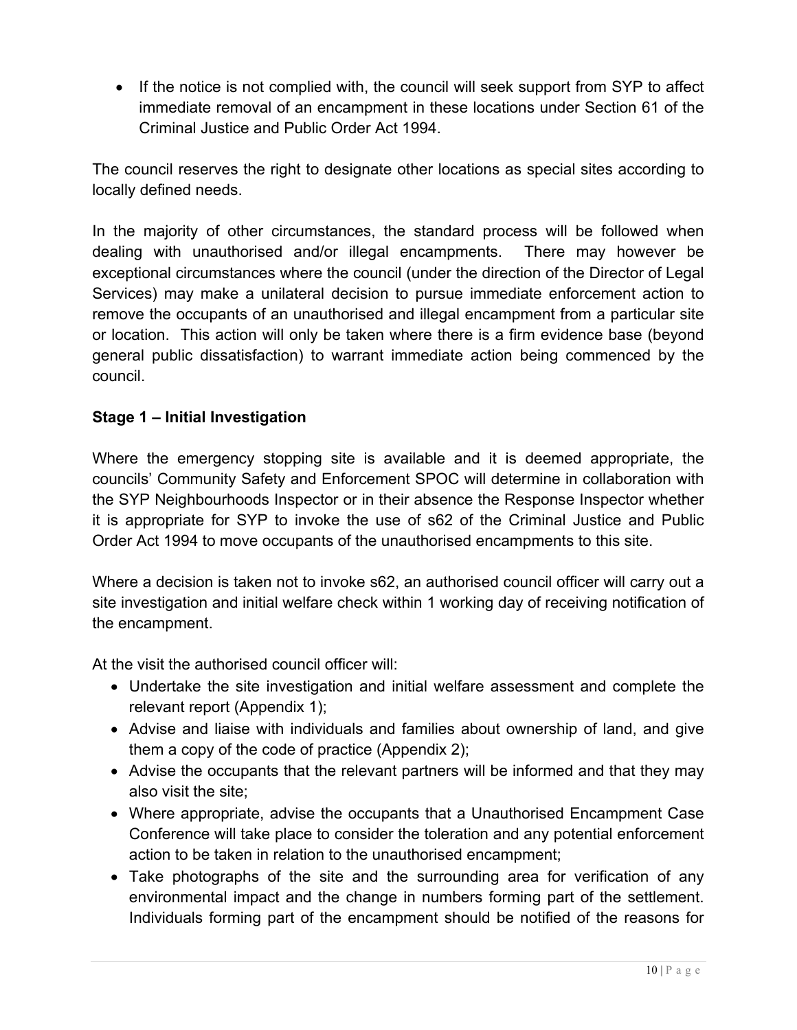• If the notice is not complied with, the council will seek support from SYP to affect immediate removal of an encampment in these locations under Section 61 of the Criminal Justice and Public Order Act 1994.

 The council reserves the right to designate other locations as special sites according to locally defined needs.

 In the majority of other circumstances, the standard process will be followed when dealing with unauthorised and/or illegal encampments. There may however be exceptional circumstances where the council (under the direction of the Director of Legal Services) may make a unilateral decision to pursue immediate enforcement action to remove the occupants of an unauthorised and illegal encampment from a particular site or location. This action will only be taken where there is a firm evidence base (beyond general public dissatisfaction) to warrant immediate action being commenced by the council.

# **Stage 1 – Initial Investigation**

 Where the emergency stopping site is available and it is deemed appropriate, the councils' Community Safety and Enforcement SPOC will determine in collaboration with the SYP Neighbourhoods Inspector or in their absence the Response Inspector whether it is appropriate for SYP to invoke the use of s62 of the Criminal Justice and Public Order Act 1994 to move occupants of the unauthorised encampments to this site.

 Where a decision is taken not to invoke s62, an authorised council officer will carry out a site investigation and initial welfare check within 1 working day of receiving notification of the encampment.

At the visit the authorised council officer will:

- Undertake the site investigation and initial welfare assessment and complete the relevant report (Appendix 1);
- Advise and liaise with individuals and families about ownership of land, and give them a copy of the code of practice (Appendix 2);
- Advise the occupants that the relevant partners will be informed and that they may also visit the site;
- Where appropriate, advise the occupants that a Unauthorised Encampment Case Conference will take place to consider the toleration and any potential enforcement action to be taken in relation to the unauthorised encampment;
- Take photographs of the site and the surrounding area for verification of any environmental impact and the change in numbers forming part of the settlement. Individuals forming part of the encampment should be notified of the reasons for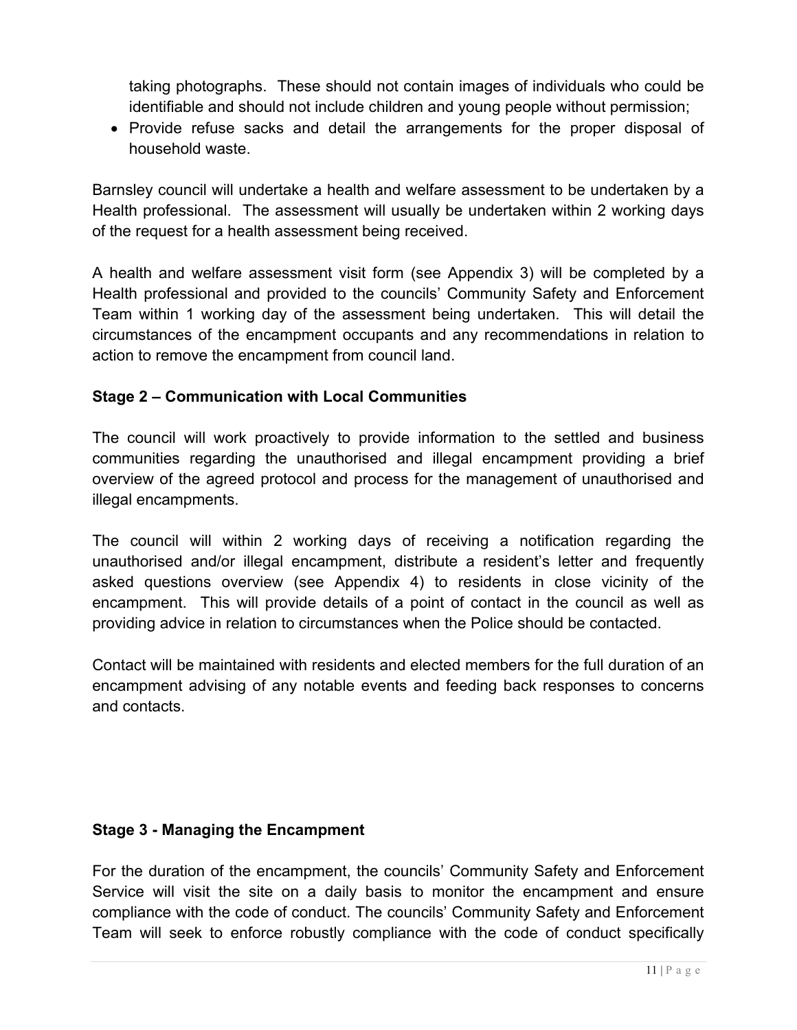taking photographs. These should not contain images of individuals who could be identifiable and should not include children and young people without permission;

• Provide refuse sacks and detail the arrangements for the proper disposal of household waste.

 Barnsley council will undertake a health and welfare assessment to be undertaken by a Health professional. The assessment will usually be undertaken within 2 working days of the request for a health assessment being received.

 A health and welfare assessment visit form (see Appendix 3) will be completed by a Health professional and provided to the councils' Community Safety and Enforcement Team within 1 working day of the assessment being undertaken. This will detail the circumstances of the encampment occupants and any recommendations in relation to action to remove the encampment from council land.

# **Stage 2 – Communication with Local Communities**

 The council will work proactively to provide information to the settled and business communities regarding the unauthorised and illegal encampment providing a brief overview of the agreed protocol and process for the management of unauthorised and illegal encampments.

illegal encampments.<br>The council will within 2 working days of receiving a notification regarding the unauthorised and/or illegal encampment, distribute a resident's letter and frequently asked questions overview (see Appendix 4) to residents in close vicinity of the encampment. This will provide details of a point of contact in the council as well as providing advice in relation to circumstances when the Police should be contacted.

 Contact will be maintained with residents and elected members for the full duration of an encampment advising of any notable events and feeding back responses to concerns and contacts.

# **Stage 3 - Managing the Encampment**

 For the duration of the encampment, the councils' Community Safety and Enforcement Service will visit the site on a daily basis to monitor the encampment and ensure compliance with the code of conduct. The councils' Community Safety and Enforcement Team will seek to enforce robustly compliance with the code of conduct specifically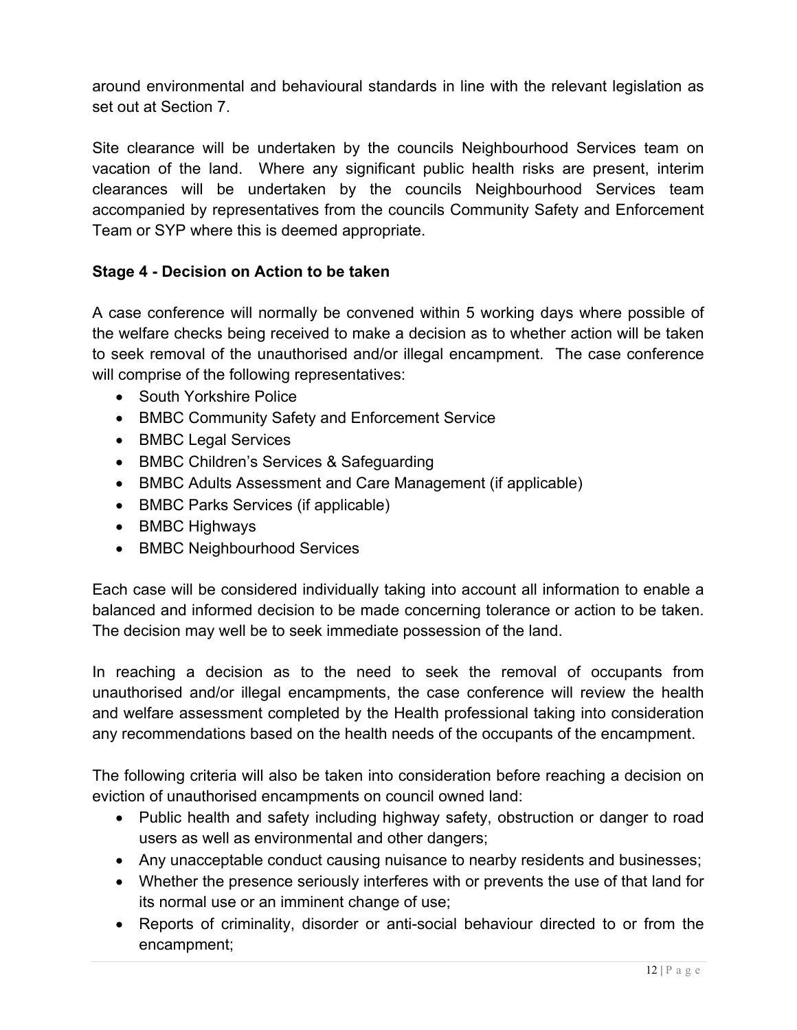around environmental and behavioural standards in line with the relevant legislation as set out at Section 7.

 Site clearance will be undertaken by the councils Neighbourhood Services team on vacation of the land. Where any significant public health risks are present, interim clearances will be undertaken by the councils Neighbourhood Services team accompanied by representatives from the councils Community Safety and Enforcement Team or SYP where this is deemed appropriate.

# **Stage 4 - Decision on Action to be taken**

 A case conference will normally be convened within 5 working days where possible of the welfare checks being received to make a decision as to whether action will be taken to seek removal of the unauthorised and/or illegal encampment. The case conference will comprise of the following representatives:

- South Yorkshire Police
- BMBC Community Safety and Enforcement Service
- BMBC Legal Services
- BMBC Children's Services & Safeguarding
- BMBC Adults Assessment and Care Management (if applicable)
- BMBC Parks Services (if applicable)
- BMBC Highways
- BMBC Neighbourhood Services

 Each case will be considered individually taking into account all information to enable a balanced and informed decision to be made concerning tolerance or action to be taken. The decision may well be to seek immediate possession of the land.

 In reaching a decision as to the need to seek the removal of occupants from unauthorised and/or illegal encampments, the case conference will review the health and welfare assessment completed by the Health professional taking into consideration any recommendations based on the health needs of the occupants of the encampment.

 The following criteria will also be taken into consideration before reaching a decision on eviction of unauthorised encampments on council owned land:

- Public health and safety including highway safety, obstruction or danger to road users as well as environmental and other dangers;
- Any unacceptable conduct causing nuisance to nearby residents and businesses;
- Whether the presence seriously interferes with or prevents the use of that land for its normal use or an imminent change of use;
- Reports of criminality, disorder or anti-social behaviour directed to or from the encampment;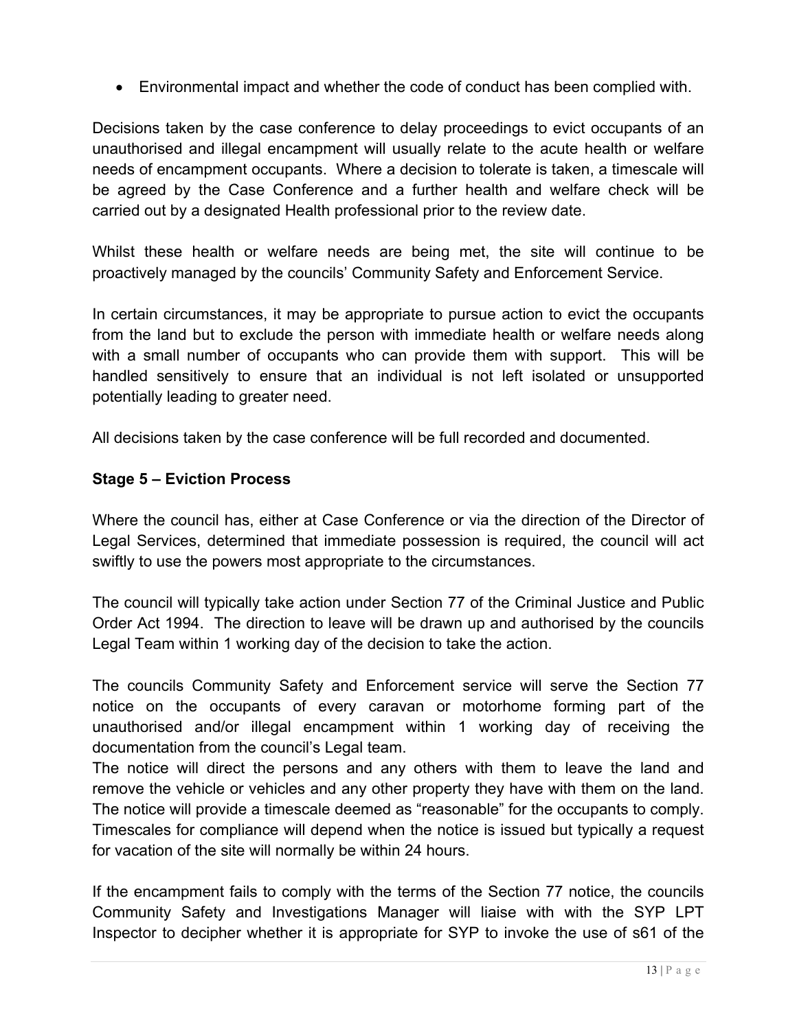Environmental impact and whether the code of conduct has been complied with.

 Decisions taken by the case conference to delay proceedings to evict occupants of an unauthorised and illegal encampment will usually relate to the acute health or welfare needs of encampment occupants. Where a decision to tolerate is taken, a timescale will be agreed by the Case Conference and a further health and welfare check will be carried out by a designated Health professional prior to the review date.

 Whilst these health or welfare needs are being met, the site will continue to be proactively managed by the councils' Community Safety and Enforcement Service.

 In certain circumstances, it may be appropriate to pursue action to evict the occupants from the land but to exclude the person with immediate health or welfare needs along with a small number of occupants who can provide them with support. This will be handled sensitively to ensure that an individual is not left isolated or unsupported potentially leading to greater need.

All decisions taken by the case conference will be full recorded and documented.

## **Stage 5 – Eviction Process**

 Where the council has, either at Case Conference or via the direction of the Director of Legal Services, determined that immediate possession is required, the council will act swiftly to use the powers most appropriate to the circumstances.

 The council will typically take action under Section 77 of the Criminal Justice and Public Order Act 1994. The direction to leave will be drawn up and authorised by the councils Legal Team within 1 working day of the decision to take the action.

 The councils Community Safety and Enforcement service will serve the Section 77 notice on the occupants of every caravan or motorhome forming part of the unauthorised and/or illegal encampment within 1 working day of receiving the documentation from the council's Legal team.

 The notice will direct the persons and any others with them to leave the land and remove the vehicle or vehicles and any other property they have with them on the land. The notice will provide a timescale deemed as "reasonable" for the occupants to comply. Timescales for compliance will depend when the notice is issued but typically a request for vacation of the site will normally be within 24 hours.

 If the encampment fails to comply with the terms of the Section 77 notice, the councils Community Safety and Investigations Manager will liaise with with the SYP LPT Inspector to decipher whether it is appropriate for SYP to invoke the use of s61 of the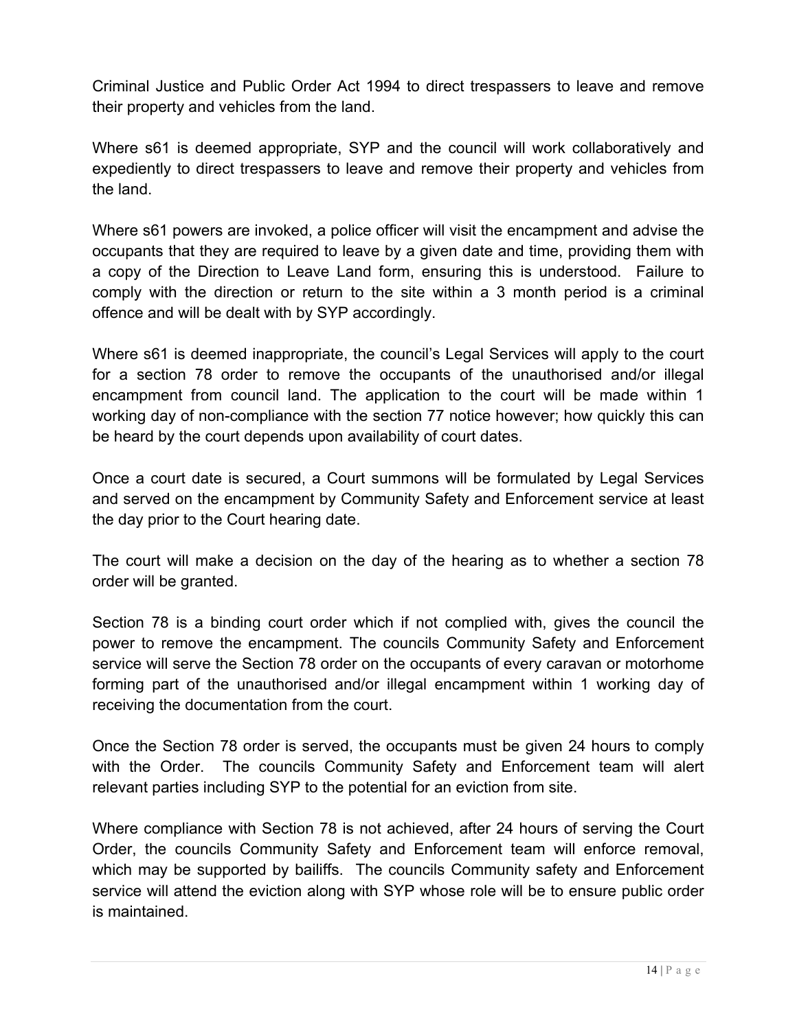Criminal Justice and Public Order Act 1994 to direct trespassers to leave and remove their property and vehicles from the land.

 Where s61 is deemed appropriate, SYP and the council will work collaboratively and expediently to direct trespassers to leave and remove their property and vehicles from the land.

 Where s61 powers are invoked, a police officer will visit the encampment and advise the occupants that they are required to leave by a given date and time, providing them with a copy of the Direction to Leave Land form, ensuring this is understood. Failure to comply with the direction or return to the site within a 3 month period is a criminal offence and will be dealt with by SYP accordingly.

 Where s61 is deemed inappropriate, the council's Legal Services will apply to the court for a section 78 order to remove the occupants of the unauthorised and/or illegal encampment from council land. The application to the court will be made within 1 working day of non-compliance with the section 77 notice however; how quickly this can be heard by the court depends upon availability of court dates.

 Once a court date is secured, a Court summons will be formulated by Legal Services and served on the encampment by Community Safety and Enforcement service at least the day prior to the Court hearing date.

 The court will make a decision on the day of the hearing as to whether a section 78 order will be granted.

 Section 78 is a binding court order which if not complied with, gives the council the power to remove the encampment. The councils Community Safety and Enforcement service will serve the Section 78 order on the occupants of every caravan or motorhome forming part of the unauthorised and/or illegal encampment within 1 working day of receiving the documentation from the court.

 Once the Section 78 order is served, the occupants must be given 24 hours to comply with the Order. The councils Community Safety and Enforcement team will alert relevant parties including SYP to the potential for an eviction from site.

 Where compliance with Section 78 is not achieved, after 24 hours of serving the Court Order, the councils Community Safety and Enforcement team will enforce removal, which may be supported by bailiffs. The councils Community safety and Enforcement service will attend the eviction along with SYP whose role will be to ensure public order is maintained.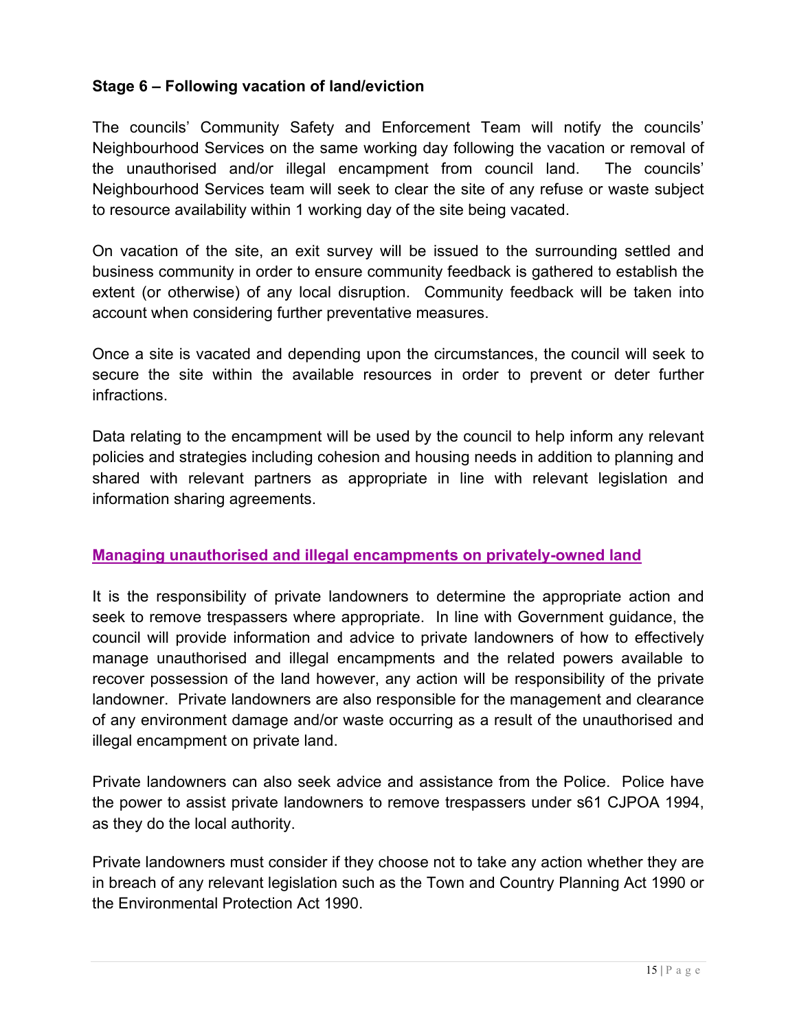# **Stage 6 – Following vacation of land/eviction**

 The councils' Community Safety and Enforcement Team will notify the councils' Neighbourhood Services on the same working day following the vacation or removal of the unauthorised and/or illegal encampment from council land. The councils' Neighbourhood Services team will seek to clear the site of any refuse or waste subject to resource availability within 1 working day of the site being vacated.

 On vacation of the site, an exit survey will be issued to the surrounding settled and business community in order to ensure community feedback is gathered to establish the extent (or otherwise) of any local disruption. Community feedback will be taken into account when considering further preventative measures.

 Once a site is vacated and depending upon the circumstances, the council will seek to secure the site within the available resources in order to prevent or deter further infractions.

 Data relating to the encampment will be used by the council to help inform any relevant policies and strategies including cohesion and housing needs in addition to planning and shared with relevant partners as appropriate in line with relevant legislation and information sharing agreements.

#### **Managing unauthorised and illegal encampments on privately-owned land**

It is the responsibility of private landowners to determine the appropriate action and seek to remove trespassers where appropriate. In line with Government guidance, the council will provide information and advice to private landowners of how to effectively manage unauthorised and illegal encampments and the related powers available to recover possession of the land however, any action will be responsibility of the private landowner. Private landowners are also responsible for the management and clearance of any environment damage and/or waste occurring as a result of the unauthorised and illegal encampment on private land.

Private landowners can also seek advice and assistance from the Police. Police have the power to assist private landowners to remove trespassers under s61 CJPOA 1994, as they do the local authority.

Private landowners must consider if they choose not to take any action whether they are in breach of any relevant legislation such as the Town and Country Planning Act 1990 or the Environmental Protection Act 1990.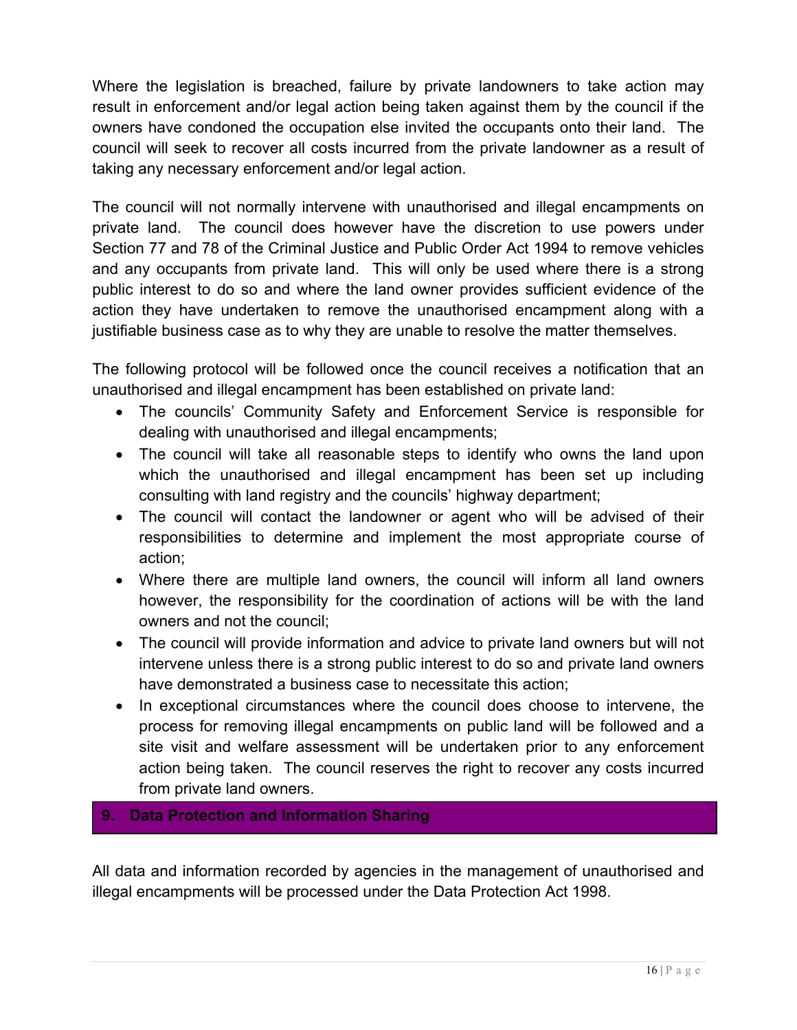Where the legislation is breached, failure by private landowners to take action may result in enforcement and/or legal action being taken against them by the council if the owners have condoned the occupation else invited the occupants onto their land. The council will seek to recover all costs incurred from the private landowner as a result of taking any necessary enforcement and/or legal action.

 The council will not normally intervene with unauthorised and illegal encampments on private land. Section 77 and 78 of the Criminal Justice and Public Order Act 1994 to remove vehicles and any occupants from private land. This will only be used where there is a strong public interest to do so and where the land owner provides sufficient evidence of the action they have undertaken to remove the unauthorised encampment along with a justifiable business case as to why they are unable to resolve the matter themselves. The council does however have the discretion to use powers under

 The following protocol will be followed once the council receives a notification that an unauthorised and illegal encampment has been established on private land:

- The councils' Community Safety and Enforcement Service is responsible for dealing with unauthorised and illegal encampments;
- The council will take all reasonable steps to identify who owns the land upon which the unauthorised and illegal encampment has been set up including consulting with land registry and the councils' highway department;
- The council will contact the landowner or agent who will be advised of their responsibilities to determine and implement the most appropriate course of action;
- Where there are multiple land owners, the council will inform all land owners however, the responsibility for the coordination of actions will be with the land owners and not the council;
- The council will provide information and advice to private land owners but will not intervene unless there is a strong public interest to do so and private land owners have demonstrated a business case to necessitate this action;
- In exceptional circumstances where the council does choose to intervene, the process for removing illegal encampments on public land will be followed and a site visit and welfare assessment will be undertaken prior to any enforcement action being taken. The council reserves the right to recover any costs incurred from private land owners.

# **9. Data Protection and Information Sharing**

 All data and information recorded by agencies in the management of unauthorised and illegal encampments will be processed under the Data Protection Act 1998.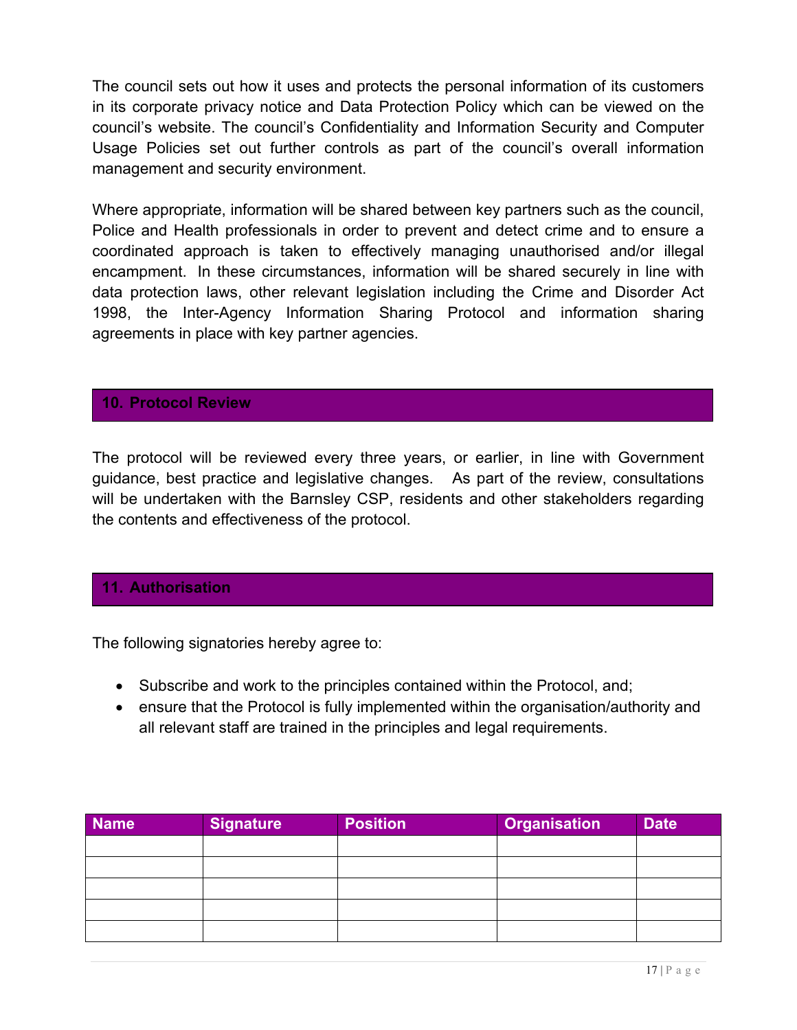The council sets out how it uses and protects the personal information of its customers in its corporate privacy notice and Data Protection Policy which can be viewed on the council's website. The council's Confidentiality and Information Security and Computer Usage Policies set out further controls as part of the council's overall information management and security environment.

 Where appropriate, information will be shared between key partners such as the council, Police and Health professionals in order to prevent and detect crime and to ensure a coordinated approach is taken to effectively managing unauthorised and/or illegal encampment. In these circumstances, information will be shared securely in line with data protection laws, other relevant legislation including the Crime and Disorder Act 1998, the Inter-Agency Information Sharing Protocol and information sharing agreements in place with key partner agencies.

#### **10. Protocol Review**

 The protocol will be reviewed every three years, or earlier, in line with Government guidance, best practice and legislative changes. As part of the review, consultations will be undertaken with the Barnsley CSP, residents and other stakeholders regarding the contents and effectiveness of the protocol.

#### **11. Authorisation**

The following signatories hereby agree to:

- Subscribe and work to the principles contained within the Protocol, and;
- ensure that the Protocol is fully implemented within the organisation/authority and all relevant staff are trained in the principles and legal requirements.

| <b>Name</b> | Signature | <b>Position</b> | <b>Organisation</b> | Date <sup>'</sup> |
|-------------|-----------|-----------------|---------------------|-------------------|
|             |           |                 |                     |                   |
|             |           |                 |                     |                   |
|             |           |                 |                     |                   |
|             |           |                 |                     |                   |
|             |           |                 |                     |                   |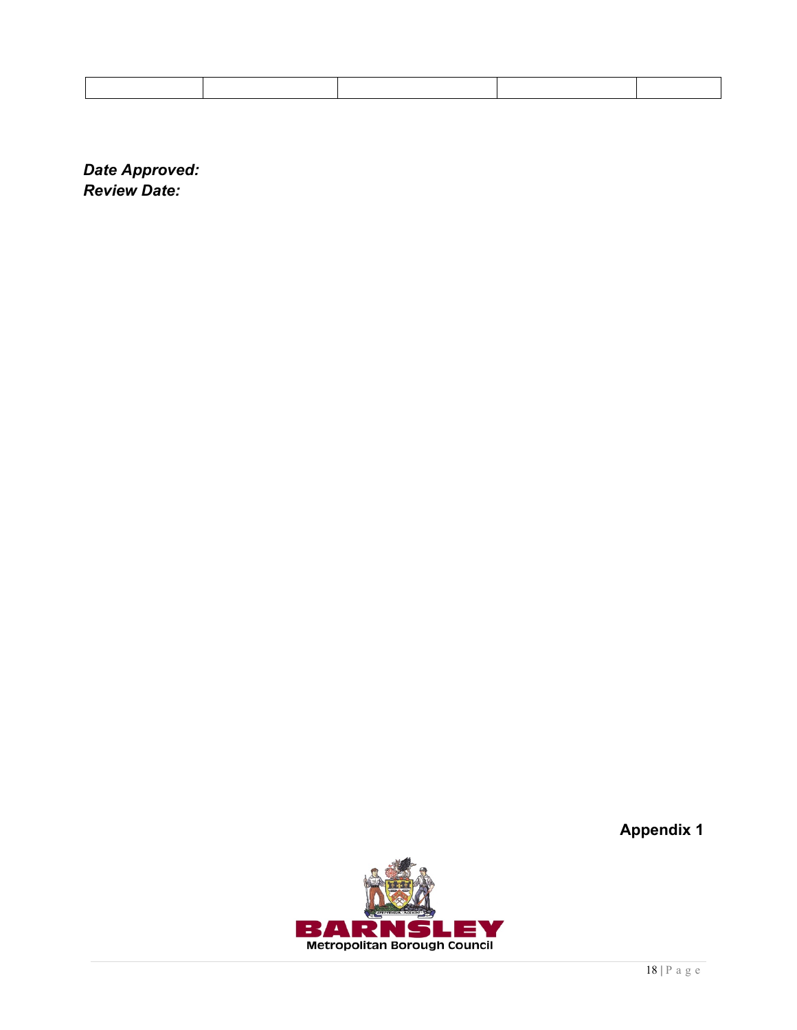*Date Approved: Review Date:* 

**Appendix 1** 

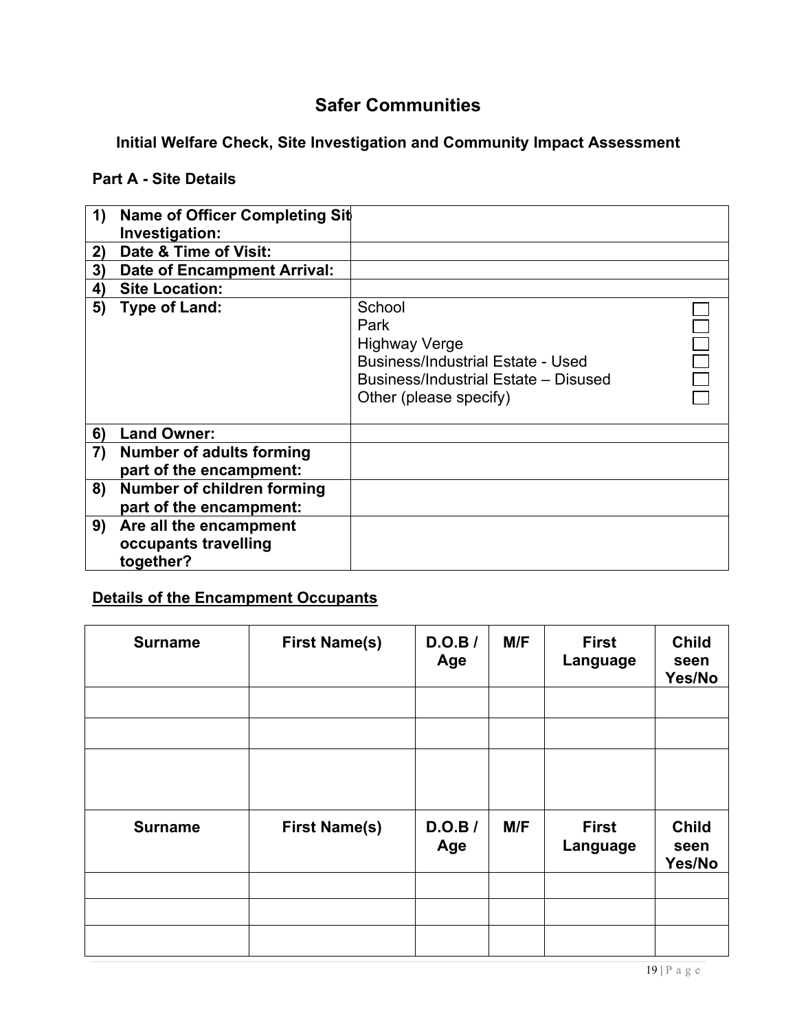# **Safer Communities**

#### **Initial Welfare Check, Site Investigation and Community Impact Assessment**

#### **Part A - Site Details**

| 1) | Name of Officer Completing Sit<br>Investigation:            |                                                                                                                                                      |  |
|----|-------------------------------------------------------------|------------------------------------------------------------------------------------------------------------------------------------------------------|--|
| 2) | Date & Time of Visit:                                       |                                                                                                                                                      |  |
| 3) | Date of Encampment Arrival:                                 |                                                                                                                                                      |  |
| 4) | <b>Site Location:</b>                                       |                                                                                                                                                      |  |
| 5) | <b>Type of Land:</b>                                        | School<br>Park<br><b>Highway Verge</b><br><b>Business/Industrial Estate - Used</b><br>Business/Industrial Estate - Disused<br>Other (please specify) |  |
| 6) | <b>Land Owner:</b>                                          |                                                                                                                                                      |  |
| 7) | <b>Number of adults forming</b><br>part of the encampment:  |                                                                                                                                                      |  |
| 8) | Number of children forming<br>part of the encampment:       |                                                                                                                                                      |  |
| 9) | Are all the encampment<br>occupants travelling<br>together? |                                                                                                                                                      |  |

#### **Details of the Encampment Occupants**

| <b>Surname</b> | <b>First Name(s)</b> | D.O.B<br>Age | M/F | <b>First</b><br>Language | <b>Child</b><br>seen<br>Yes/No |
|----------------|----------------------|--------------|-----|--------------------------|--------------------------------|
|                |                      |              |     |                          |                                |
|                |                      |              |     |                          |                                |
|                |                      |              |     |                          |                                |
| <b>Surname</b> | <b>First Name(s)</b> | D.O.B<br>Age | M/F | <b>First</b><br>Language | <b>Child</b><br>seen<br>Yes/No |
|                |                      |              |     |                          |                                |
|                |                      |              |     |                          |                                |
|                |                      |              |     |                          |                                |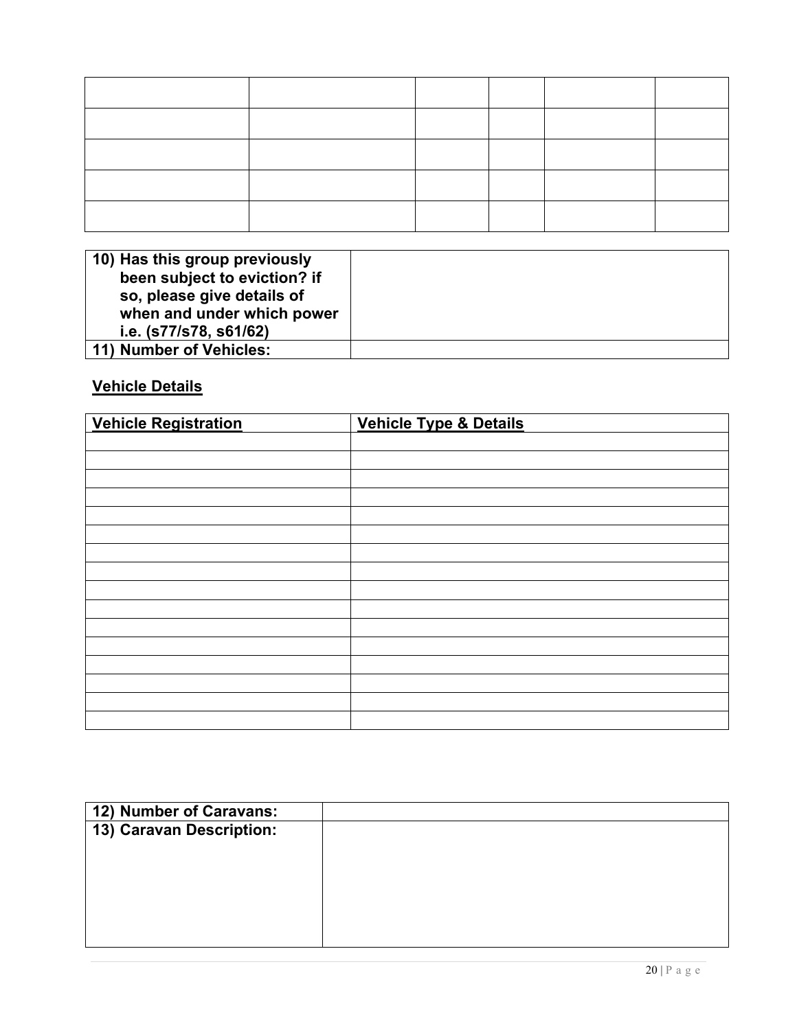| 10) Has this group previously |  |
|-------------------------------|--|
| been subject to eviction? if  |  |
| so, please give details of    |  |
| when and under which power    |  |
| i.e. (s77/s78, s61/62)        |  |
| 11) Number of Vehicles:       |  |

# **Vehicle Details**

| <b>Vehicle Registration</b> | Vehicle Type & Details |
|-----------------------------|------------------------|
|                             |                        |
|                             |                        |
|                             |                        |
|                             |                        |
|                             |                        |
|                             |                        |
|                             |                        |
|                             |                        |
|                             |                        |
|                             |                        |
|                             |                        |
|                             |                        |
|                             |                        |
|                             |                        |
|                             |                        |
|                             |                        |

| 12) Number of Caravans:  |  |
|--------------------------|--|
| 13) Caravan Description: |  |
|                          |  |
|                          |  |
|                          |  |
|                          |  |
|                          |  |
|                          |  |
|                          |  |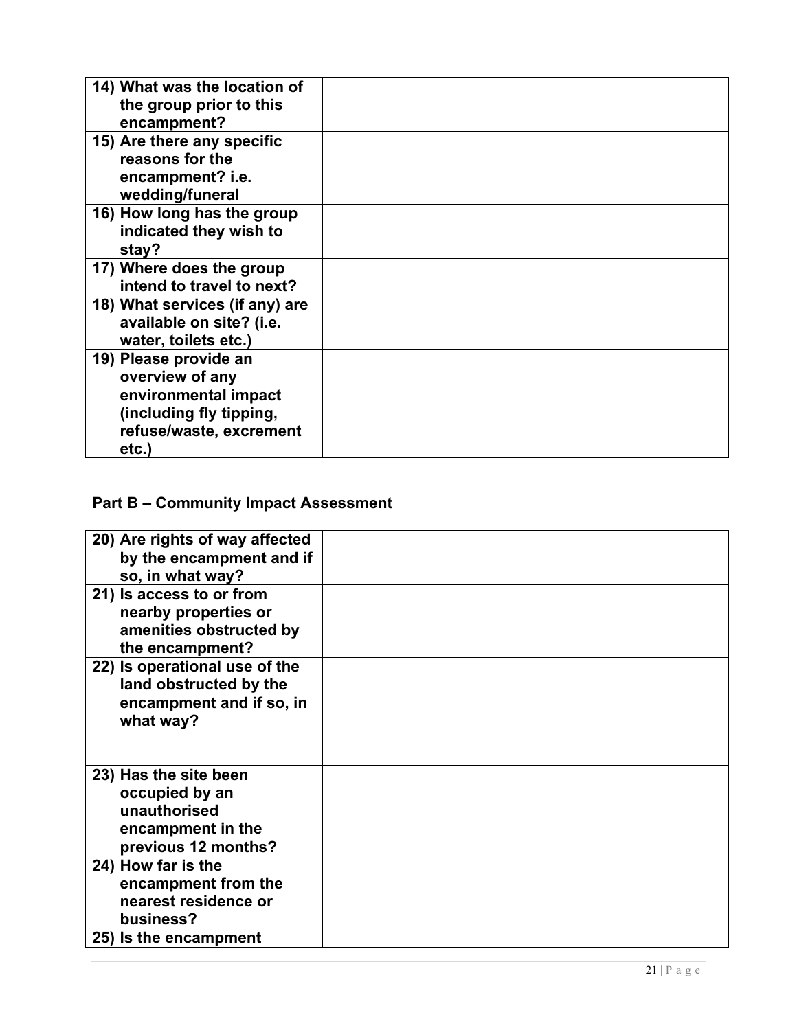| 14) What was the location of<br>the group prior to this<br>encampment?                                                          |  |
|---------------------------------------------------------------------------------------------------------------------------------|--|
| 15) Are there any specific<br>reasons for the<br>encampment? i.e.<br>wedding/funeral                                            |  |
| 16) How long has the group<br>indicated they wish to<br>stay?                                                                   |  |
| 17) Where does the group<br>intend to travel to next?                                                                           |  |
| 18) What services (if any) are<br>available on site? (i.e.<br>water, toilets etc.)                                              |  |
| 19) Please provide an<br>overview of any<br>environmental impact<br>(including fly tipping,<br>refuse/waste, excrement<br>etc.) |  |

#### **Part B – Community Impact Assessment**

| 20) Are rights of way affected<br>by the encampment and if                                          |  |
|-----------------------------------------------------------------------------------------------------|--|
| so, in what way?                                                                                    |  |
| 21) Is access to or from<br>nearby properties or<br>amenities obstructed by<br>the encampment?      |  |
| 22) Is operational use of the<br>land obstructed by the<br>encampment and if so, in<br>what way?    |  |
| 23) Has the site been<br>occupied by an<br>unauthorised<br>encampment in the<br>previous 12 months? |  |
| 24) How far is the<br>encampment from the<br>nearest residence or<br>business?                      |  |
| 25) Is the encampment                                                                               |  |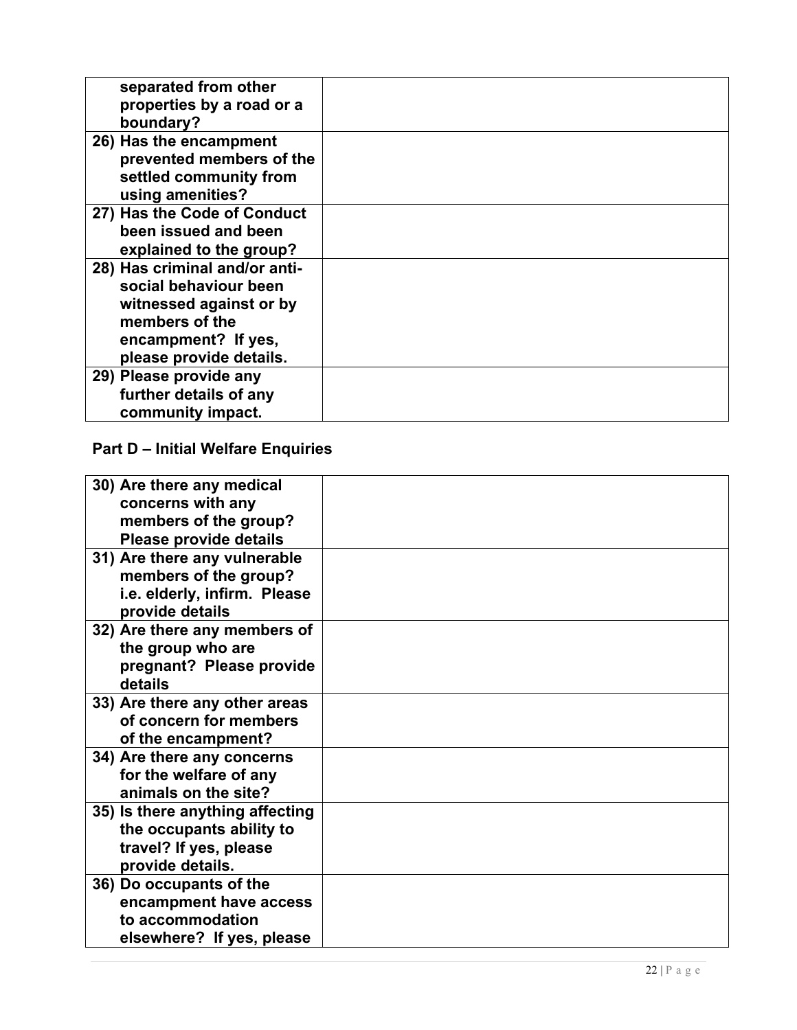| separated from other          |  |
|-------------------------------|--|
| properties by a road or a     |  |
| boundary?                     |  |
| 26) Has the encampment        |  |
| prevented members of the      |  |
| settled community from        |  |
| using amenities?              |  |
| 27) Has the Code of Conduct   |  |
| been issued and been          |  |
| explained to the group?       |  |
| 28) Has criminal and/or anti- |  |
| social behaviour been         |  |
| witnessed against or by       |  |
| members of the                |  |
| encampment? If yes,           |  |
| please provide details.       |  |
|                               |  |
| 29) Please provide any        |  |
| further details of any        |  |
| community impact.             |  |

#### **Part D – Initial Welfare Enquiries**

| 30) Are there any medical<br>concerns with any<br>members of the group?<br>Please provide details         |  |
|-----------------------------------------------------------------------------------------------------------|--|
| 31) Are there any vulnerable<br>members of the group?<br>i.e. elderly, infirm. Please<br>provide details  |  |
| 32) Are there any members of<br>the group who are<br>pregnant? Please provide<br>details                  |  |
| 33) Are there any other areas<br>of concern for members<br>of the encampment?                             |  |
| 34) Are there any concerns<br>for the welfare of any<br>animals on the site?                              |  |
| 35) Is there anything affecting<br>the occupants ability to<br>travel? If yes, please<br>provide details. |  |
| 36) Do occupants of the<br>encampment have access<br>to accommodation<br>elsewhere? If yes, please        |  |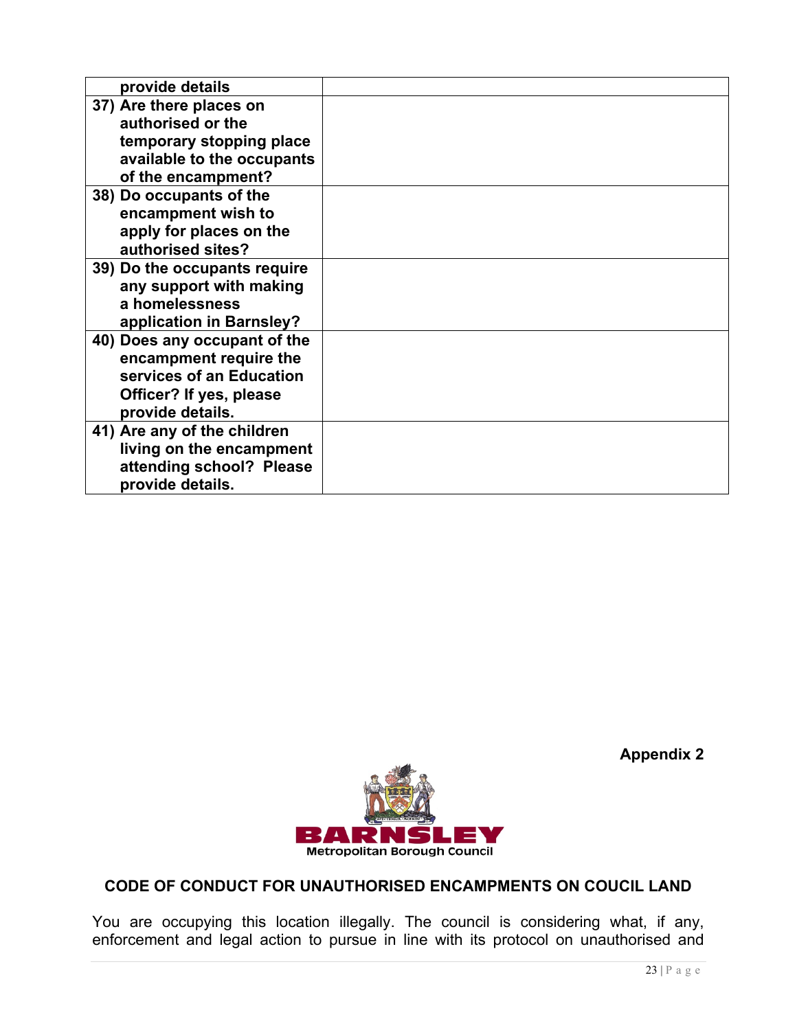| provide details              |  |
|------------------------------|--|
| 37) Are there places on      |  |
| authorised or the            |  |
| temporary stopping place     |  |
| available to the occupants   |  |
| of the encampment?           |  |
| 38) Do occupants of the      |  |
| encampment wish to           |  |
| apply for places on the      |  |
| authorised sites?            |  |
| 39) Do the occupants require |  |
| any support with making      |  |
| a homelessness               |  |
| application in Barnsley?     |  |
| 40) Does any occupant of the |  |
| encampment require the       |  |
| services of an Education     |  |
| Officer? If yes, please      |  |
| provide details.             |  |
| 41) Are any of the children  |  |
| living on the encampment     |  |
| attending school? Please     |  |
| provide details.             |  |



**Appendix 2** 

# **CODE OF CONDUCT FOR UNAUTHORISED ENCAMPMENTS ON COUCIL LAND**

ĺ, You are occupying this location illegally. The council is considering what, if any, enforcement and legal action to pursue in line with its protocol on unauthorised and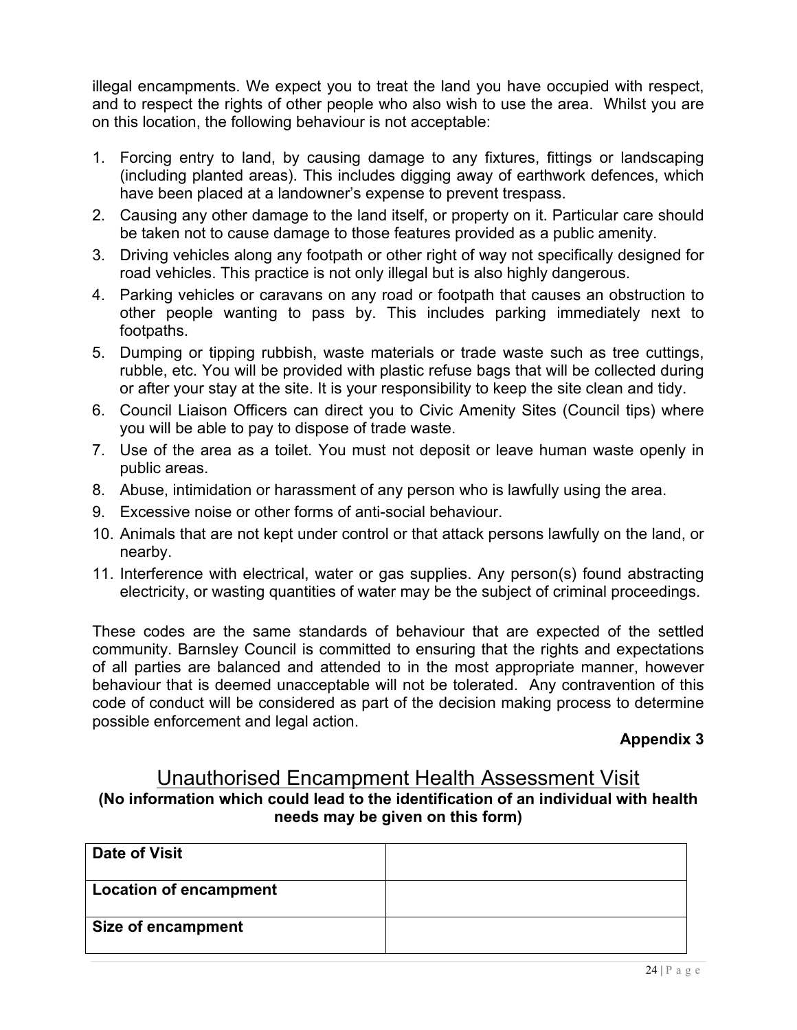illegal encampments. We expect you to treat the land you have occupied with respect, and to respect the rights of other people who also wish to use the area. Whilst you are on this location, the following behaviour is not acceptable:

- 1. Forcing entry to land, by causing damage to any fixtures, fittings or landscaping (including planted areas). This includes digging away of earthwork defences, which have been placed at a landowner's expense to prevent trespass.
- 2. Causing any other damage to the land itself, or property on it. Particular care should be taken not to cause damage to those features provided as a public amenity.
- 3. Driving vehicles along any footpath or other right of way not specifically designed for road vehicles. This practice is not only illegal but is also highly dangerous.
- 4. Parking vehicles or caravans on any road or footpath that causes an obstruction to other people wanting to pass by. This includes parking immediately next to footpaths.
- 5. Dumping or tipping rubbish, waste materials or trade waste such as tree cuttings, rubble, etc. You will be provided with plastic refuse bags that will be collected during or after your stay at the site. It is your responsibility to keep the site clean and tidy.
- 6. Council Liaison Officers can direct you to Civic Amenity Sites (Council tips) where you will be able to pay to dispose of trade waste.
- 7. Use of the area as a toilet. You must not deposit or leave human waste openly in public areas.
- 8. Abuse, intimidation or harassment of any person who is lawfully using the area.
- 9. Excessive noise or other forms of anti-social behaviour.
- 10. Animals that are not kept under control or that attack persons lawfully on the land, or nearby.
- electricity, or wasting quantities of water may be the subject of criminal proceedings. 11. Interference with electrical, water or gas supplies. Any person(s) found abstracting

 These codes are the same standards of behaviour that are expected of the settled community. Barnsley Council is committed to ensuring that the rights and expectations of all parties are balanced and attended to in the most appropriate manner, however behaviour that is deemed unacceptable will not be tolerated. Any contravention of this code of conduct will be considered as part of the decision making process to determine possible enforcement and legal action.

#### **Appendix 3**

# Unauthorised Encampment Health Assessment Visit  **needs may be given on this form) (No information which could lead to the identification of an individual with health**

| <b>Date of Visit</b>          |  |
|-------------------------------|--|
| <b>Location of encampment</b> |  |
| <b>Size of encampment</b>     |  |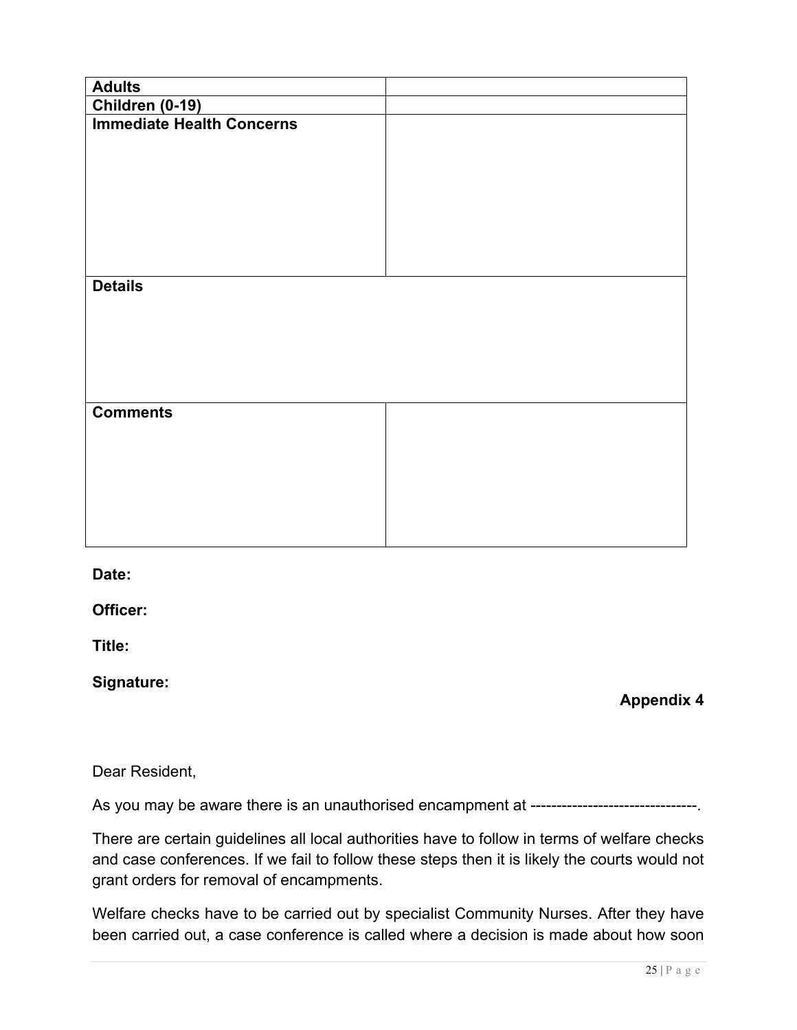| <b>Adults</b>                    |  |
|----------------------------------|--|
| Children (0-19)                  |  |
| <b>Immediate Health Concerns</b> |  |
| <b>Details</b>                   |  |
| <b>Comments</b>                  |  |

**Date:** 

**Officer:** 

**Title:** 

**Signature:** 

**Appendix 4** 

#### Dear Resident,

As you may be aware there is an unauthorised encampment at --------------------------------.

 There are certain guidelines all local authorities have to follow in terms of welfare checks and case conferences. If we fail to follow these steps then it is likely the courts would not grant orders for removal of encampments.

 Welfare checks have to be carried out by specialist Community Nurses. After they have been carried out, a case conference is called where a decision is made about how soon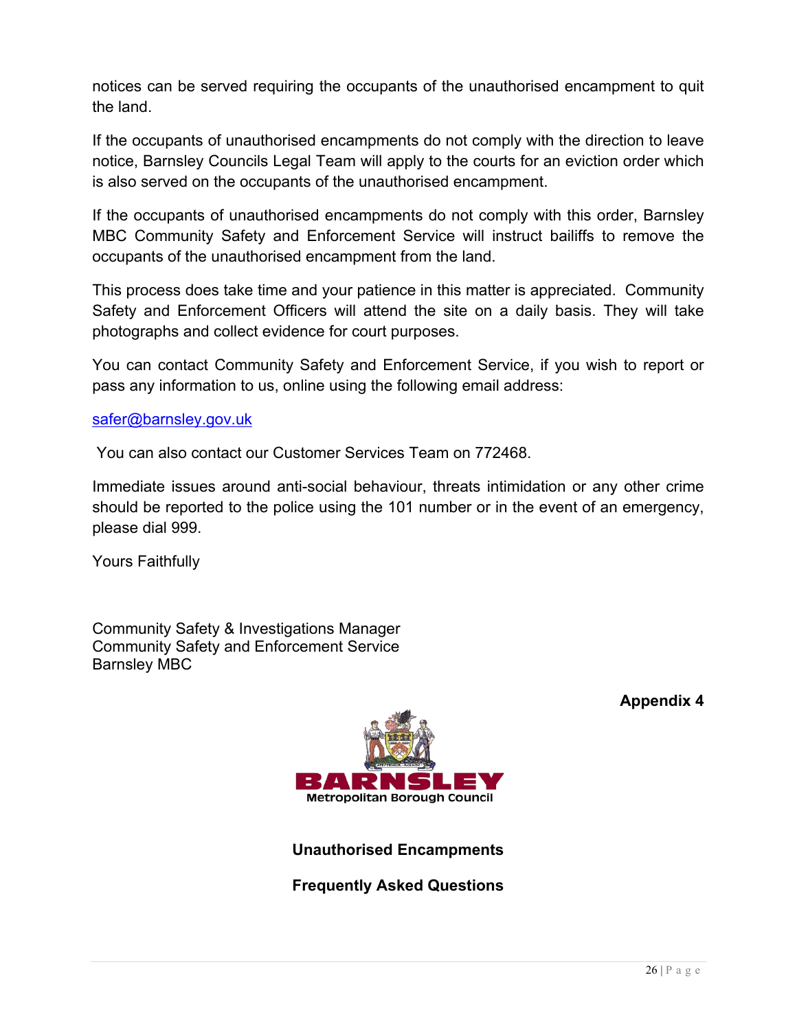notices can be served requiring the occupants of the unauthorised encampment to quit the land.

 If the occupants of unauthorised encampments do not comply with the direction to leave notice, Barnsley Councils Legal Team will apply to the courts for an eviction order which is also served on the occupants of the unauthorised encampment.

 If the occupants of unauthorised encampments do not comply with this order, Barnsley MBC Community Safety and Enforcement Service will instruct bailiffs to remove the occupants of the unauthorised encampment from the land.

 This process does take time and your patience in this matter is appreciated. Community Safety and Enforcement Officers will attend the site on a daily basis. They will take photographs and collect evidence for court purposes.

 You can contact Community Safety and Enforcement Service, if you wish to report or pass any information to us, online using the following email address:

#### [safer@barnsley.gov.uk](mailto:safer@barnsley.gov.uk)

You can also contact our Customer Services Team on 772468.

 Immediate issues around anti-social behaviour, threats intimidation or any other crime should be reported to the police using the 101 number or in the event of an emergency, please dial 999.

Yours Faithfully

 Community Safety & Investigations Manager Community Safety and Enforcement Service Barnsley MBC



**Appendix 4** 

**Unauthorised Encampments** 

 **Frequently Asked Questions**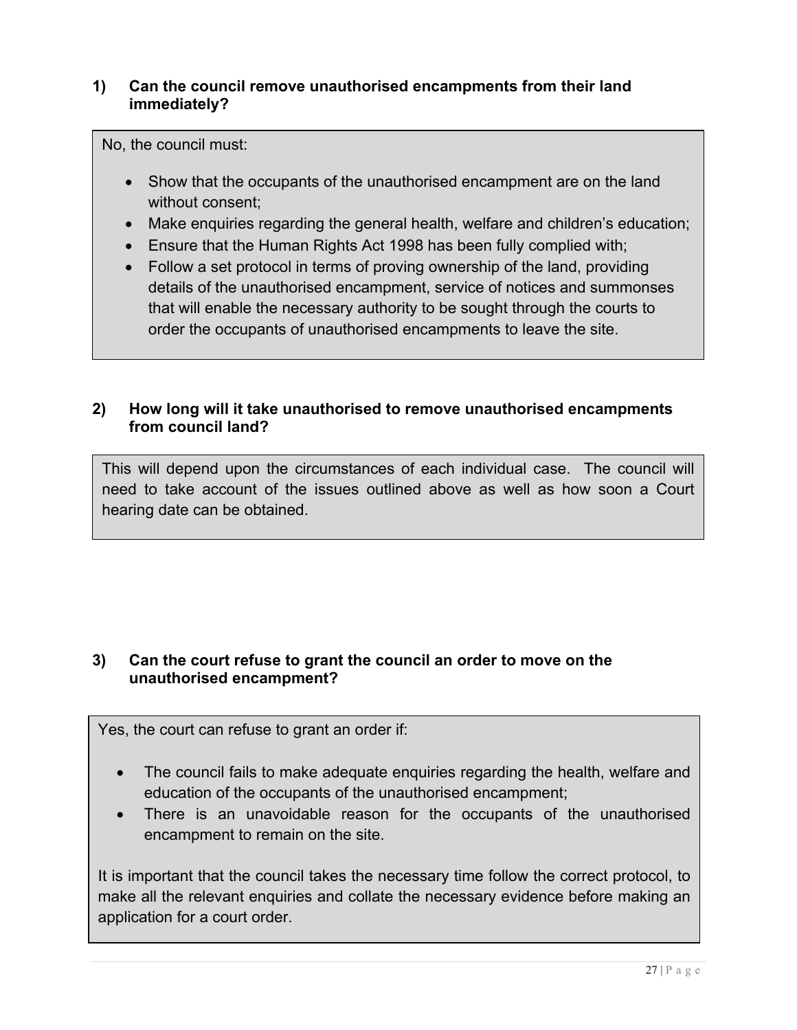# **1) Can the council remove unauthorised encampments from their land immediately?**

No, the council must:

- Show that the occupants of the unauthorised encampment are on the land without consent;
- Make enquiries regarding the general health, welfare and children's education;
- Ensure that the Human Rights Act 1998 has been fully complied with;
- Follow a set protocol in terms of proving ownership of the land, providing details of the unauthorised encampment, service of notices and summonses that will enable the necessary authority to be sought through the courts to order the occupants of unauthorised encampments to leave the site.

#### **2) How long will it take unauthorised to remove unauthorised encampments from council land?**

 This will depend upon the circumstances of each individual case. The council will need to take account of the issues outlined above as well as how soon a Court hearing date can be obtained.

# **3) Can the court refuse to grant the council an order to move on the unauthorised encampment?**

Yes, the court can refuse to grant an order if:

- The council fails to make adequate enquiries regarding the health, welfare and education of the occupants of the unauthorised encampment;
- There is an unavoidable reason for the occupants of the unauthorised encampment to remain on the site.

 It is important that the council takes the necessary time follow the correct protocol, to make all the relevant enquiries and collate the necessary evidence before making an application for a court order.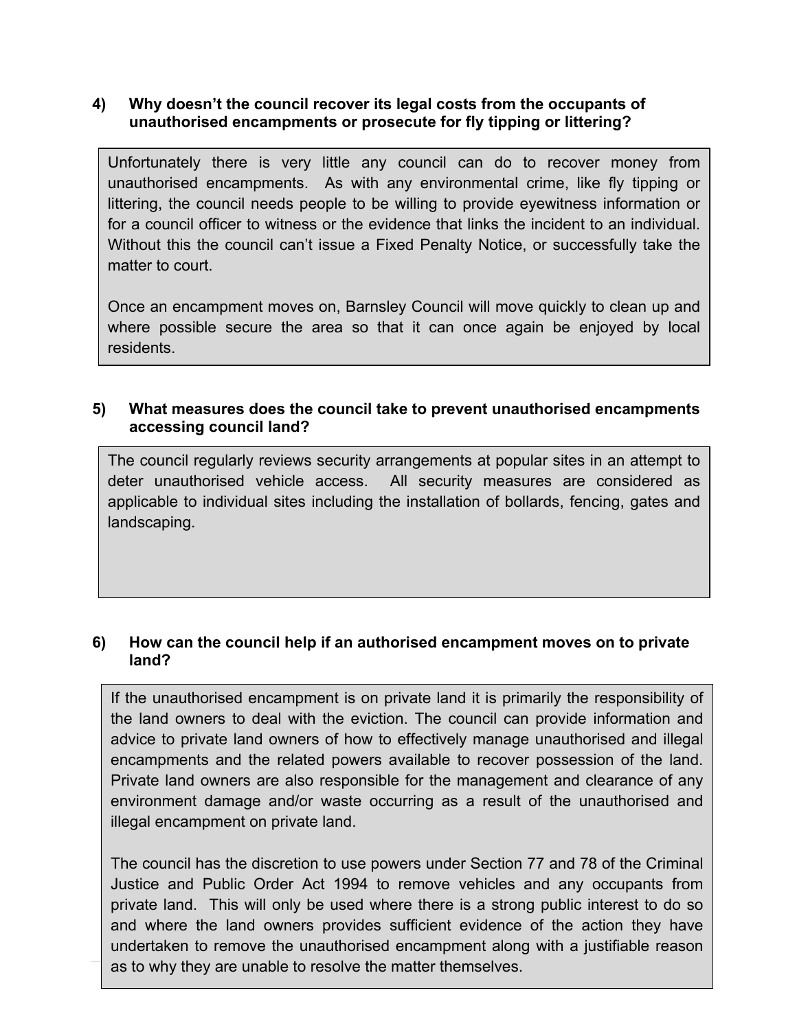## **4) Why doesn't the council recover its legal costs from the occupants of unauthorised encampments or prosecute for fly tipping or littering?**

 Unfortunately there is very little any council can do to recover money from unauthorised encampments. As with any environmental crime, like fly tipping or littering, the council needs people to be willing to provide eyewitness information or for a council officer to witness or the evidence that links the incident to an individual. Without this the council can't issue a Fixed Penalty Notice, or successfully take the matter to court.

 Once an encampment moves on, Barnsley Council will move quickly to clean up and where possible secure the area so that it can once again be enjoyed by local residents.

#### **5) What measures does the council take to prevent unauthorised encampments accessing council land?**

 The council regularly reviews security arrangements at popular sites in an attempt to deter unauthorised vehicle access. All security measures are considered as applicable to individual sites including the installation of bollards, fencing, gates and landscaping.

## **6) How can the council help if an authorised encampment moves on to private land?**

 If the unauthorised encampment is on private land it is primarily the responsibility of the land owners to deal with the eviction. The council can provide information and advice to private land owners of how to effectively manage unauthorised and illegal encampments and the related powers available to recover possession of the land. Private land owners are also responsible for the management and clearance of any environment damage and/or waste occurring as a result of the unauthorised and illegal encampment on private land.

 The council has the discretion to use powers under Section 77 and 78 of the Criminal Justice and Public Order Act 1994 to remove vehicles and any occupants from private land. This will only be used where there is a strong public interest to do so and where the land owners provides sufficient evidence of the action they have undertaken to remove the unauthorised encampment along with a justifiable reason as to why they are unable to resolve the matter themselves.